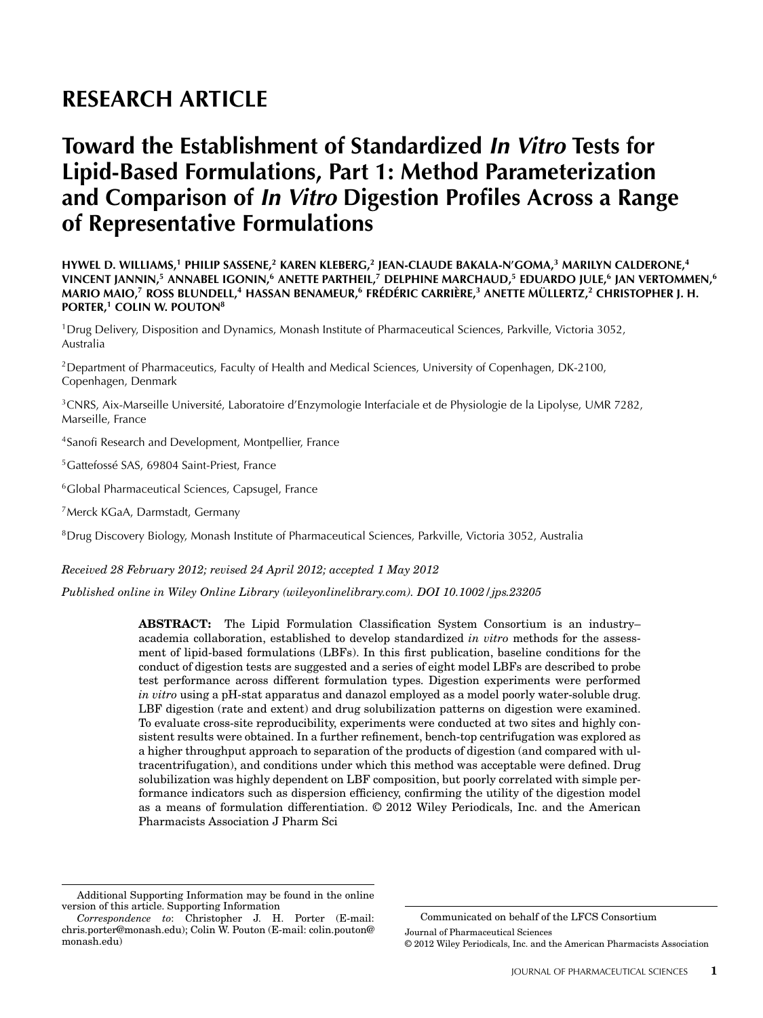# **RESEARCH ARTICLE**

# **Toward the Establishment of Standardized In Vitro Tests for Lipid-Based Formulations, Part 1: Method Parameterization and Comparison of In Vitro Digestion Profiles Across a Range of Representative Formulations**

**HYWEL D. WILLIAMS,1 PHILIP SASSENE,<sup>2</sup> KAREN KLEBERG,2 JEAN-CLAUDE BAKALA-N- GOMA,<sup>3</sup> MARILYN CALDERONE,<sup>4</sup> VINCENT JANNIN,5 ANNABEL IGONIN,6 ANETTE PARTHEIL,<sup>7</sup> DELPHINE MARCHAUD,5 EDUARDO JULE,<sup>6</sup> JAN VERTOMMEN,<sup>6</sup> MARIO MAIO,<sup>7</sup> ROSS BLUNDELL,4 HASSAN BENAMEUR,<sup>6</sup> FRED´ ERIC CARRI ´ ERE, ` <sup>3</sup> ANETTE MULLERTZ, ¨ <sup>2</sup> CHRISTOPHER J. H. PORTER,<sup>1</sup> COLIN W. POUTON8**

1Drug Delivery, Disposition and Dynamics, Monash Institute of Pharmaceutical Sciences, Parkville, Victoria 3052, Australia

2Department of Pharmaceutics, Faculty of Health and Medical Sciences, University of Copenhagen, DK-2100, Copenhagen, Denmark

 $3$ CNRS, Aix-Marseille Université, Laboratoire d'Enzymologie Interfaciale et de Physiologie de la Lipolyse, UMR 7282, Marseille, France

4Sanofi Research and Development, Montpellier, France

<sup>5</sup> Gattefossé SAS, 69804 Saint-Priest, France

6Global Pharmaceutical Sciences, Capsugel, France

7Merck KGaA, Darmstadt, Germany

8Drug Discovery Biology, Monash Institute of Pharmaceutical Sciences, Parkville, Victoria 3052, Australia

#### *Received 28 February 2012; revised 24 April 2012; accepted 1 May 2012*

*Published online in Wiley Online Library (wileyonlinelibrary.com). DOI 10.1002/jps.23205*

**ABSTRACT:** The Lipid Formulation Classification System Consortium is an industry– academia collaboration, established to develop standardized *in vitro* methods for the assessment of lipid-based formulations (LBFs). In this first publication, baseline conditions for the conduct of digestion tests are suggested and a series of eight model LBFs are described to probe test performance across different formulation types. Digestion experiments were performed *in vitro* using a pH-stat apparatus and danazol employed as a model poorly water-soluble drug. LBF digestion (rate and extent) and drug solubilization patterns on digestion were examined. To evaluate cross-site reproducibility, experiments were conducted at two sites and highly consistent results were obtained. In a further refinement, bench-top centrifugation was explored as a higher throughput approach to separation of the products of digestion (and compared with ultracentrifugation), and conditions under which this method was acceptable were defined. Drug solubilization was highly dependent on LBF composition, but poorly correlated with simple performance indicators such as dispersion efficiency, confirming the utility of the digestion model as a means of formulation differentiation. © 2012 Wiley Periodicals, Inc. and the American Pharmacists Association J Pharm Sci

Additional Supporting Information may be found in the online version of this article. Supporting Information

*Correspondence to*: Christopher J. H. Porter (E-mail: chris.porter@monash.edu); Colin W. Pouton (E-mail: colin.pouton@ monash.edu)

Communicated on behalf of the LFCS Consortium Journal of Pharmaceutical Sciences © 2012 Wiley Periodicals, Inc. and the American Pharmacists Association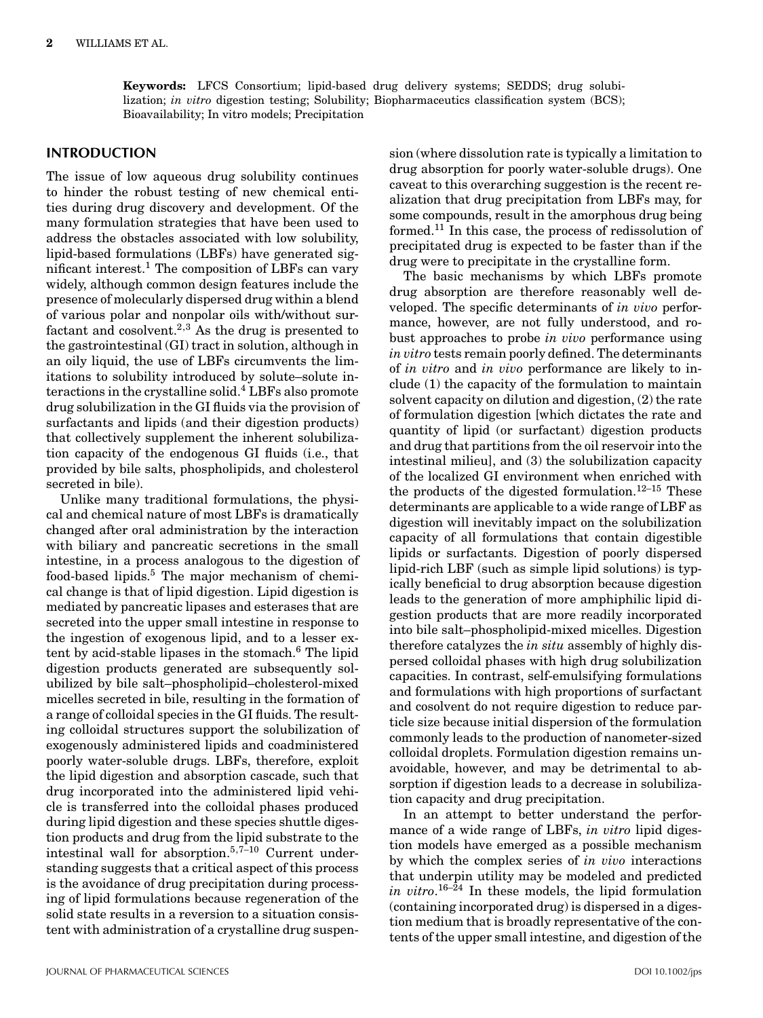**Keywords:** LFCS Consortium; lipid-based drug delivery systems; SEDDS; drug solubilization; *in vitro* digestion testing; Solubility; Biopharmaceutics classification system (BCS); Bioavailability; In vitro models; Precipitation

#### **INTRODUCTION**

The issue of low aqueous drug solubility continues to hinder the robust testing of new chemical entities during drug discovery and development. Of the many formulation strategies that have been used to address the obstacles associated with low solubility, lipid-based formulations (LBFs) have generated significant interest.<sup>1</sup> The composition of LBFs can vary widely, although common design features include the presence of molecularly dispersed drug within a blend of various polar and nonpolar oils with/without surfactant and cosolvent.<sup>2,3</sup> As the drug is presented to the gastrointestinal (GI) tract in solution, although in an oily liquid, the use of LBFs circumvents the limitations to solubility introduced by solute–solute interactions in the crystalline solid.4 LBFs also promote drug solubilization in the GI fluids via the provision of surfactants and lipids (and their digestion products) that collectively supplement the inherent solubilization capacity of the endogenous GI fluids (i.e., that provided by bile salts, phospholipids, and cholesterol secreted in bile).

Unlike many traditional formulations, the physical and chemical nature of most LBFs is dramatically changed after oral administration by the interaction with biliary and pancreatic secretions in the small intestine, in a process analogous to the digestion of food-based lipids.<sup>5</sup> The major mechanism of chemical change is that of lipid digestion. Lipid digestion is mediated by pancreatic lipases and esterases that are secreted into the upper small intestine in response to the ingestion of exogenous lipid, and to a lesser extent by acid-stable lipases in the stomach.<sup>6</sup> The lipid digestion products generated are subsequently solubilized by bile salt–phospholipid–cholesterol-mixed micelles secreted in bile, resulting in the formation of a range of colloidal species in the GI fluids. The resulting colloidal structures support the solubilization of exogenously administered lipids and coadministered poorly water-soluble drugs. LBFs, therefore, exploit the lipid digestion and absorption cascade, such that drug incorporated into the administered lipid vehicle is transferred into the colloidal phases produced during lipid digestion and these species shuttle digestion products and drug from the lipid substrate to the intestinal wall for absorption.5,7–10 Current understanding suggests that a critical aspect of this process is the avoidance of drug precipitation during processing of lipid formulations because regeneration of the solid state results in a reversion to a situation consistent with administration of a crystalline drug suspension (where dissolution rate is typically a limitation to drug absorption for poorly water-soluble drugs). One caveat to this overarching suggestion is the recent realization that drug precipitation from LBFs may, for some compounds, result in the amorphous drug being formed.<sup>11</sup> In this case, the process of redissolution of precipitated drug is expected to be faster than if the drug were to precipitate in the crystalline form.

The basic mechanisms by which LBFs promote drug absorption are therefore reasonably well developed. The specific determinants of *in vivo* performance, however, are not fully understood, and robust approaches to probe *in vivo* performance using *in vitro* tests remain poorly defined. The determinants of *in vitro* and *in vivo* performance are likely to include (1) the capacity of the formulation to maintain solvent capacity on dilution and digestion, (2) the rate of formulation digestion [which dictates the rate and quantity of lipid (or surfactant) digestion products and drug that partitions from the oil reservoir into the intestinal milieu], and (3) the solubilization capacity of the localized GI environment when enriched with the products of the digested formulation.<sup>12–15</sup> These determinants are applicable to a wide range of LBF as digestion will inevitably impact on the solubilization capacity of all formulations that contain digestible lipids or surfactants. Digestion of poorly dispersed lipid-rich LBF (such as simple lipid solutions) is typically beneficial to drug absorption because digestion leads to the generation of more amphiphilic lipid digestion products that are more readily incorporated into bile salt–phospholipid-mixed micelles. Digestion therefore catalyzes the *in situ* assembly of highly dispersed colloidal phases with high drug solubilization capacities. In contrast, self-emulsifying formulations and formulations with high proportions of surfactant and cosolvent do not require digestion to reduce particle size because initial dispersion of the formulation commonly leads to the production of nanometer-sized colloidal droplets. Formulation digestion remains unavoidable, however, and may be detrimental to absorption if digestion leads to a decrease in solubilization capacity and drug precipitation.

In an attempt to better understand the performance of a wide range of LBFs, *in vitro* lipid digestion models have emerged as a possible mechanism by which the complex series of *in vivo* interactions that underpin utility may be modeled and predicted *in vitro*. 16–24 In these models, the lipid formulation (containing incorporated drug) is dispersed in a digestion medium that is broadly representative of the contents of the upper small intestine, and digestion of the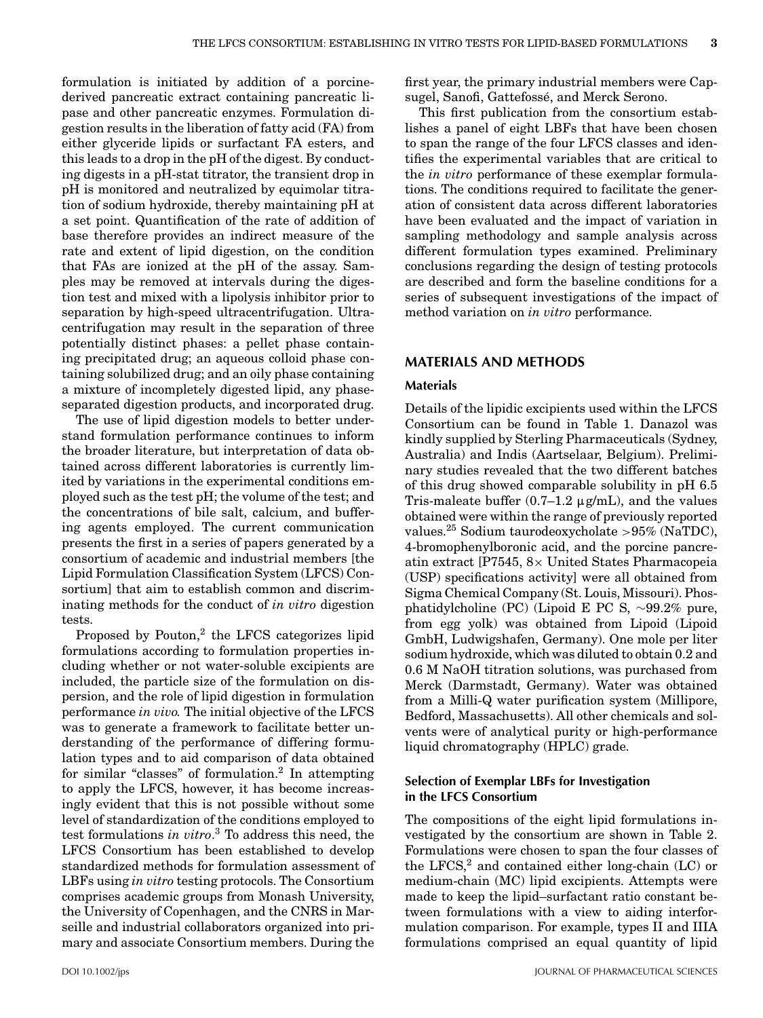formulation is initiated by addition of a porcinederived pancreatic extract containing pancreatic lipase and other pancreatic enzymes. Formulation digestion results in the liberation of fatty acid (FA) from either glyceride lipids or surfactant FA esters, and this leads to a drop in the pH of the digest. By conducting digests in a pH-stat titrator, the transient drop in pH is monitored and neutralized by equimolar titration of sodium hydroxide, thereby maintaining pH at a set point. Quantification of the rate of addition of base therefore provides an indirect measure of the rate and extent of lipid digestion, on the condition that FAs are ionized at the pH of the assay. Samples may be removed at intervals during the digestion test and mixed with a lipolysis inhibitor prior to separation by high-speed ultracentrifugation. Ultracentrifugation may result in the separation of three potentially distinct phases: a pellet phase containing precipitated drug; an aqueous colloid phase containing solubilized drug; and an oily phase containing a mixture of incompletely digested lipid, any phaseseparated digestion products, and incorporated drug.

The use of lipid digestion models to better understand formulation performance continues to inform the broader literature, but interpretation of data obtained across different laboratories is currently limited by variations in the experimental conditions employed such as the test pH; the volume of the test; and the concentrations of bile salt, calcium, and buffering agents employed. The current communication presents the first in a series of papers generated by a consortium of academic and industrial members [the Lipid Formulation Classification System (LFCS) Consortium] that aim to establish common and discriminating methods for the conduct of *in vitro* digestion tests.

Proposed by Pouton, $^2$  the LFCS categorizes lipid formulations according to formulation properties including whether or not water-soluble excipients are included, the particle size of the formulation on dispersion, and the role of lipid digestion in formulation performance *in vivo.* The initial objective of the LFCS was to generate a framework to facilitate better understanding of the performance of differing formulation types and to aid comparison of data obtained for similar "classes" of formulation. $^2$  In attempting to apply the LFCS, however, it has become increasingly evident that this is not possible without some level of standardization of the conditions employed to test formulations *in vitro*. <sup>3</sup> To address this need, the LFCS Consortium has been established to develop standardized methods for formulation assessment of LBFs using *in vitro* testing protocols. The Consortium comprises academic groups from Monash University, the University of Copenhagen, and the CNRS in Marseille and industrial collaborators organized into primary and associate Consortium members. During the first year, the primary industrial members were Capsugel, Sanofi, Gattefossé, and Merck Serono.

This first publication from the consortium establishes a panel of eight LBFs that have been chosen to span the range of the four LFCS classes and identifies the experimental variables that are critical to the *in vitro* performance of these exemplar formulations. The conditions required to facilitate the generation of consistent data across different laboratories have been evaluated and the impact of variation in sampling methodology and sample analysis across different formulation types examined. Preliminary conclusions regarding the design of testing protocols are described and form the baseline conditions for a series of subsequent investigations of the impact of method variation on *in vitro* performance.

#### **MATERIALS AND METHODS**

#### **Materials**

Details of the lipidic excipients used within the LFCS Consortium can be found in Table 1. Danazol was kindly supplied by Sterling Pharmaceuticals (Sydney, Australia) and Indis (Aartselaar, Belgium). Preliminary studies revealed that the two different batches of this drug showed comparable solubility in pH 6.5 Tris-maleate buffer  $(0.7-1.2 \mu g/mL)$ , and the values obtained were within the range of previously reported values.25 Sodium taurodeoxycholate *>*95% (NaTDC), 4-bromophenylboronic acid, and the porcine pancreatin extract [P7545, 8× United States Pharmacopeia (USP) specifications activity] were all obtained from Sigma Chemical Company (St. Louis, Missouri). Phosphatidylcholine (PC) (Lipoid E PC S, ∼99.2% pure, from egg yolk) was obtained from Lipoid (Lipoid GmbH, Ludwigshafen, Germany). One mole per liter sodium hydroxide, which was diluted to obtain 0.2 and 0.6 M NaOH titration solutions, was purchased from Merck (Darmstadt, Germany). Water was obtained from a Milli-Q water purification system (Millipore, Bedford, Massachusetts). All other chemicals and solvents were of analytical purity or high-performance liquid chromatography (HPLC) grade.

#### **Selection of Exemplar LBFs for Investigation in the LFCS Consortium**

The compositions of the eight lipid formulations investigated by the consortium are shown in Table 2. Formulations were chosen to span the four classes of the LFCS, $2$  and contained either long-chain (LC) or medium-chain (MC) lipid excipients. Attempts were made to keep the lipid–surfactant ratio constant between formulations with a view to aiding interformulation comparison. For example, types II and IIIA formulations comprised an equal quantity of lipid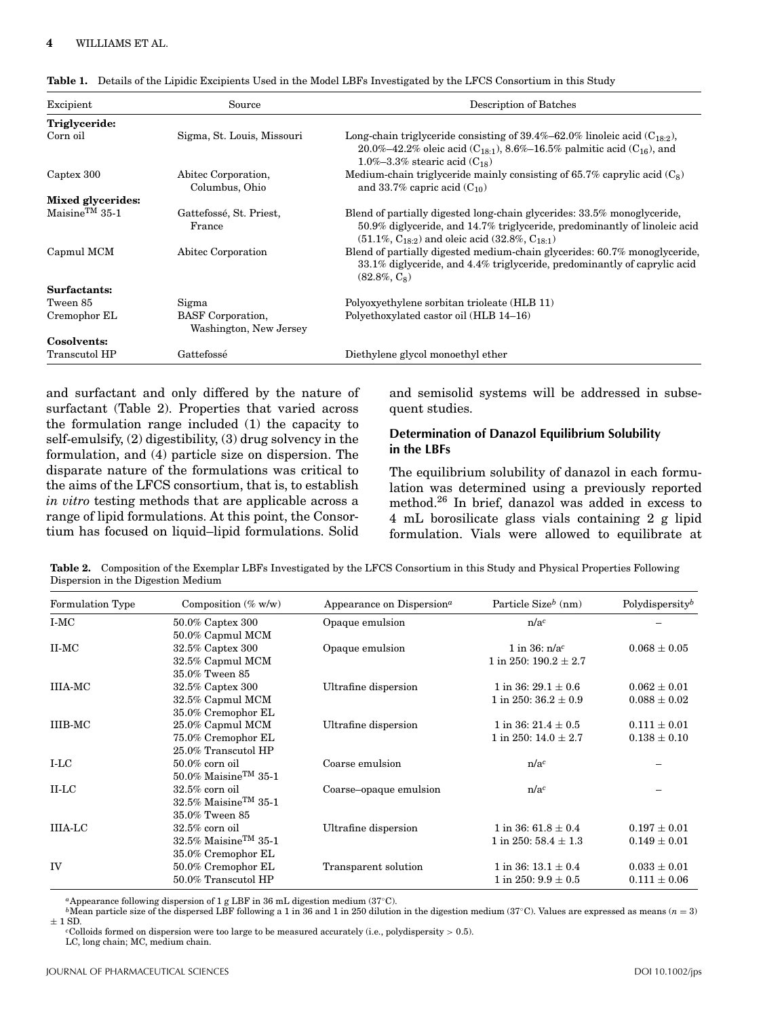| Excipient                  | Source                                             | Description of Batches                                                                                                                                                                                           |  |  |
|----------------------------|----------------------------------------------------|------------------------------------------------------------------------------------------------------------------------------------------------------------------------------------------------------------------|--|--|
| Triglyceride:              |                                                    |                                                                                                                                                                                                                  |  |  |
| Corn oil                   | Sigma, St. Louis, Missouri                         | Long-chain triglyceride consisting of 39.4%–62.0% linoleic acid $(C_{18-2})$ ,<br>20.0%–42.2% oleic acid $(C_{18-1})$ , 8.6%–16.5% palmitic acid $(C_{16})$ , and<br>1.0%-3.3% stearic acid $(C_{18})$           |  |  |
| Captex 300                 | Abitec Corporation,<br>Columbus, Ohio              | Medium-chain triglyceride mainly consisting of 65.7% caprylic acid $(C_8)$<br>and 33.7% capric acid $(C_{10})$                                                                                                   |  |  |
| Mixed glycerides:          |                                                    |                                                                                                                                                                                                                  |  |  |
| Maisine <sup>TM</sup> 35-1 | Gattefossé, St. Priest,<br>France                  | Blend of partially digested long-chain glycerides: 33.5% monoglyceride,<br>50.9% diglyceride, and 14.7% triglyceride, predominantly of linoleic acid<br>$(51.1\%, C_{18.2})$ and oleic acid $(32.8\%, C_{18.1})$ |  |  |
| Capmul MCM                 | Abitec Corporation                                 | Blend of partially digested medium-chain glycerides: 60.7% monoglyceride,<br>33.1% diglyceride, and 4.4% triglyceride, predominantly of caprylic acid<br>$(82.8\%, C_8)$                                         |  |  |
| Surfactants:               |                                                    |                                                                                                                                                                                                                  |  |  |
| Tween 85                   | Sigma                                              | Polyoxyethylene sorbitan trioleate (HLB 11)                                                                                                                                                                      |  |  |
| Cremophor EL               | <b>BASF</b> Corporation,<br>Washington, New Jersey | Polyethoxylated castor oil (HLB 14-16)                                                                                                                                                                           |  |  |
| Cosolvents:                |                                                    |                                                                                                                                                                                                                  |  |  |
| Transcutol HP              | Gattefossé                                         | Diethylene glycol monoethyl ether                                                                                                                                                                                |  |  |

|  |  |  | Table 1. Details of the Lipidic Excipients Used in the Model LBFs Investigated by the LFCS Consortium in this Study |
|--|--|--|---------------------------------------------------------------------------------------------------------------------|
|--|--|--|---------------------------------------------------------------------------------------------------------------------|

and surfactant and only differed by the nature of surfactant (Table 2). Properties that varied across the formulation range included (1) the capacity to self-emulsify, (2) digestibility, (3) drug solvency in the formulation, and (4) particle size on dispersion. The disparate nature of the formulations was critical to the aims of the LFCS consortium, that is, to establish *in vitro* testing methods that are applicable across a range of lipid formulations. At this point, the Consortium has focused on liquid–lipid formulations. Solid

and semisolid systems will be addressed in subsequent studies.

#### **Determination of Danazol Equilibrium Solubility in the LBFs**

The equilibrium solubility of danazol in each formulation was determined using a previously reported method.<sup>26</sup> In brief, danazol was added in excess to 4 mL borosilicate glass vials containing 2 g lipid formulation. Vials were allowed to equilibrate at

**Table 2.** Composition of the Exemplar LBFs Investigated by the LFCS Consortium in this Study and Physical Properties Following Dispersion in the Digestion Medium

| Formulation Type | Composition $(\% w/w)$                                                         | Appearance on Dispersion <sup><math>a</math></sup> | Particle Size $^b$ (nm)                             | Polydispersity $b$                   |
|------------------|--------------------------------------------------------------------------------|----------------------------------------------------|-----------------------------------------------------|--------------------------------------|
| I-MC             | 50.0% Captex 300<br>50.0% Capmul MCM                                           | Opaque emulsion                                    | n/a <sup>c</sup>                                    |                                      |
| II-MC            | 32.5% Captex 300<br>32.5% Capmul MCM<br>35.0% Tween 85                         | Opaque emulsion                                    | 1 in $36: n/a^c$<br>1 in 250: $190.2 \pm 2.7$       | $0.068 \pm 0.05$                     |
| <b>IIIA-MC</b>   | 32.5% Captex 300<br>32.5% Capmul MCM<br>35.0% Cremophor EL                     | Ultrafine dispersion                               | 1 in 36: $29.1 \pm 0.6$<br>1 in 250: $36.2 \pm 0.9$ | $0.062 \pm 0.01$<br>$0.088 \pm 0.02$ |
| IIIB-MC          | 25.0% Capmul MCM<br>75.0% Cremophor EL<br>25.0% Transcutol HP                  | Ultrafine dispersion                               | 1 in 36: $21.4 \pm 0.5$<br>1 in 250: $14.0 \pm 2.7$ | $0.111 \pm 0.01$<br>$0.138 \pm 0.10$ |
| LLC              | $50.0\%$ corn oil<br>$50.0\%$ Maisine <sup>TM</sup> 35-1                       | Coarse emulsion                                    | $n/a^c$                                             |                                      |
| $II-LC$          | $32.5\%$ corn oil<br>$32.5\%$ Maisine <sup>TM</sup> 35-1<br>35.0% Tween 85     | Coarse-opaque emulsion                             | n/a <sup>c</sup>                                    |                                      |
| <b>IIIA-LC</b>   | $32.5\%$ corn oil<br>$32.5\%$ Maisine <sup>TM</sup> 35-1<br>35.0% Cremophor EL | Ultrafine dispersion                               | 1 in 36: $61.8 \pm 0.4$<br>1 in 250: $58.4 \pm 1.3$ | $0.197 \pm 0.01$<br>$0.149 \pm 0.01$ |
| <b>IV</b>        | 50.0% Cremophor EL<br>50.0% Transcutol HP                                      | Transparent solution                               | 1 in 36: $13.1 \pm 0.4$<br>1 in 250: $9.9 \pm 0.5$  | $0.033 \pm 0.01$<br>$0.111 \pm 0.06$ |

*<sup>a</sup>*Appearance following dispersion of 1 g LBF in 36 mL digestion medium (37◦C).

*<sup>b</sup>*Mean particle size of the dispersed LBF following a 1 in 36 and 1 in 250 dilution in the digestion medium (37◦C). Values are expressed as means (*n* = 3)  $\pm$  1 SD.

*<sup>c</sup>*Colloids formed on dispersion were too large to be measured accurately (i.e., polydispersity *>* 0.5). LC, long chain; MC, medium chain.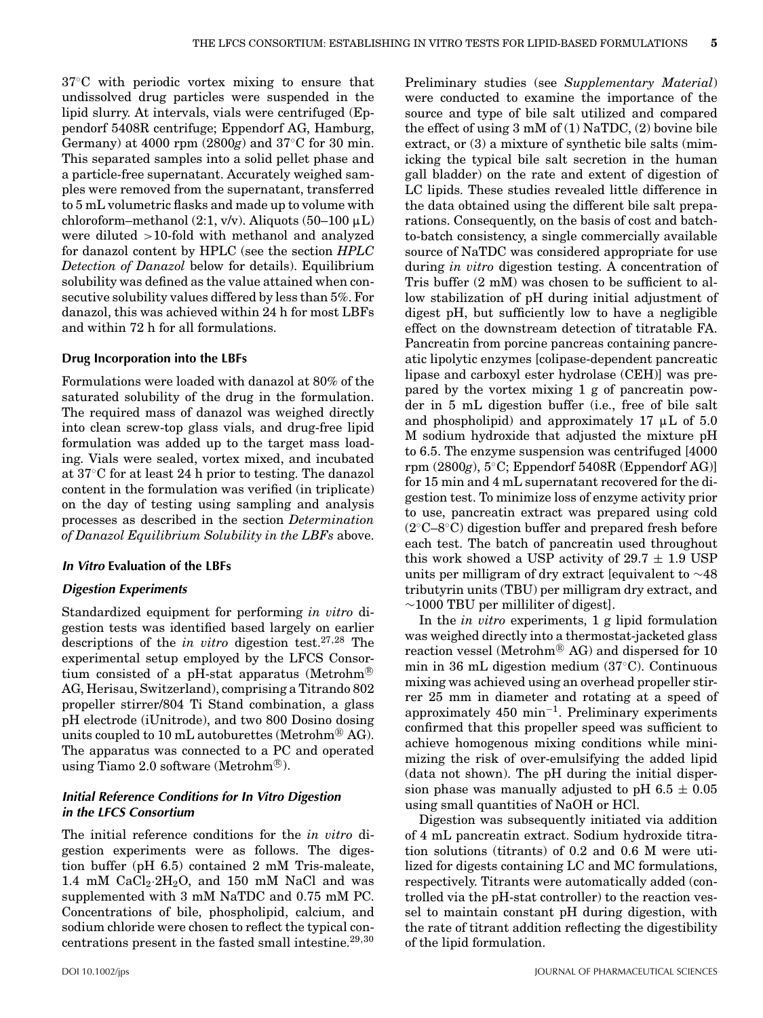37◦C with periodic vortex mixing to ensure that undissolved drug particles were suspended in the lipid slurry. At intervals, vials were centrifuged (Eppendorf 5408R centrifuge; Eppendorf AG, Hamburg, Germany) at 4000 rpm (2800*g*) and 37◦C for 30 min. This separated samples into a solid pellet phase and a particle-free supernatant. Accurately weighed samples were removed from the supernatant, transferred to 5 mL volumetric flasks and made up to volume with chloroform–methanol (2:1, v/v). Aliquots (50–100  $\mu$ L) were diluted *>*10-fold with methanol and analyzed for danazol content by HPLC (see the section *HPLC Detection of Danazol* below for details). Equilibrium solubility was defined as the value attained when consecutive solubility values differed by less than 5%. For danazol, this was achieved within 24 h for most LBFs and within 72 h for all formulations.

#### **Drug Incorporation into the LBFs**

Formulations were loaded with danazol at 80% of the saturated solubility of the drug in the formulation. The required mass of danazol was weighed directly into clean screw-top glass vials, and drug-free lipid formulation was added up to the target mass loading. Vials were sealed, vortex mixed, and incubated at 37◦C for at least 24 h prior to testing. The danazol content in the formulation was verified (in triplicate) on the day of testing using sampling and analysis processes as described in the section *Determination of Danazol Equilibrium Solubility in the LBFs* above.

#### **In Vitro Evaluation of the LBFs**

#### **Digestion Experiments**

Standardized equipment for performing *in vitro* digestion tests was identified based largely on earlier descriptions of the *in vitro* digestion test.27,28 The experimental setup employed by the LFCS Consortium consisted of a pH-stat apparatus (Metrohm<sup>®</sup> AG, Herisau, Switzerland), comprising a Titrando 802 propeller stirrer/804 Ti Stand combination, a glass pH electrode (iUnitrode), and two 800 Dosino dosing units coupled to 10 mL autoburettes (Metrohm® AG). The apparatus was connected to a PC and operated using Tiamo 2.0 software (Metrohm $^{\text{\tiny{(B)}}}.$ 

## **Initial Reference Conditions for In Vitro Digestion in the LFCS Consortium**

The initial reference conditions for the *in vitro* digestion experiments were as follows. The digestion buffer (pH 6.5) contained 2 mM Tris-maleate, 1.4 mM  $CaCl<sub>2</sub>·2H<sub>2</sub>O$ , and 150 mM NaCl and was supplemented with 3 mM NaTDC and 0.75 mM PC. Concentrations of bile, phospholipid, calcium, and sodium chloride were chosen to reflect the typical concentrations present in the fasted small intestine. $29,30$  Preliminary studies (see *Supplementary Material*) were conducted to examine the importance of the source and type of bile salt utilized and compared the effect of using  $3 \text{ mM of } (1)$  NaTDC,  $(2)$  bovine bile extract, or (3) a mixture of synthetic bile salts (mimicking the typical bile salt secretion in the human gall bladder) on the rate and extent of digestion of LC lipids. These studies revealed little difference in the data obtained using the different bile salt preparations. Consequently, on the basis of cost and batchto-batch consistency, a single commercially available source of NaTDC was considered appropriate for use during *in vitro* digestion testing. A concentration of Tris buffer (2 mM) was chosen to be sufficient to allow stabilization of pH during initial adjustment of digest pH, but sufficiently low to have a negligible effect on the downstream detection of titratable FA. Pancreatin from porcine pancreas containing pancreatic lipolytic enzymes [colipase-dependent pancreatic lipase and carboxyl ester hydrolase (CEH)] was prepared by the vortex mixing 1 g of pancreatin powder in 5 mL digestion buffer (i.e., free of bile salt and phospholipid) and approximately 17  $\mu$ L of 5.0 M sodium hydroxide that adjusted the mixture pH to 6.5. The enzyme suspension was centrifuged [4000 rpm (2800*g*), 5◦C; Eppendorf 5408R (Eppendorf AG)] for 15 min and 4 mL supernatant recovered for the digestion test. To minimize loss of enzyme activity prior to use, pancreatin extract was prepared using cold (2◦C–8◦C) digestion buffer and prepared fresh before each test. The batch of pancreatin used throughout this work showed a USP activity of  $29.7 \pm 1.9$  USP units per milligram of dry extract [equivalent to ∼48 tributyrin units (TBU) per milligram dry extract, and  $\sim$ 1000 TBU per milliliter of digest].

In the *in vitro* experiments, 1 g lipid formulation was weighed directly into a thermostat-jacketed glass reaction vessel (Metrohm<sup>®</sup> AG) and dispersed for 10 min in 36 mL digestion medium (37◦C). Continuous mixing was achieved using an overhead propeller stirrer 25 mm in diameter and rotating at a speed of approximately 450 min−1. Preliminary experiments confirmed that this propeller speed was sufficient to achieve homogenous mixing conditions while minimizing the risk of over-emulsifying the added lipid (data not shown). The pH during the initial dispersion phase was manually adjusted to pH  $6.5 \pm 0.05$ using small quantities of NaOH or HCl.

Digestion was subsequently initiated via addition of 4 mL pancreatin extract. Sodium hydroxide titration solutions (titrants) of 0.2 and 0.6 M were utilized for digests containing LC and MC formulations, respectively. Titrants were automatically added (controlled via the pH-stat controller) to the reaction vessel to maintain constant pH during digestion, with the rate of titrant addition reflecting the digestibility of the lipid formulation.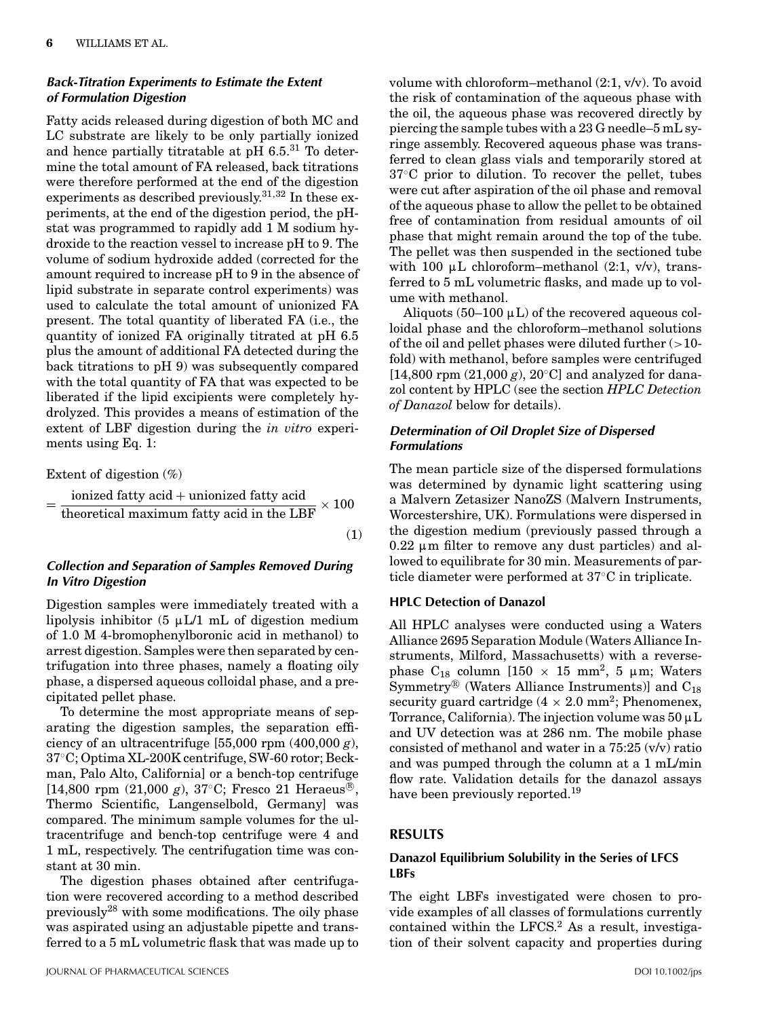## **Back-Titration Experiments to Estimate the Extent of Formulation Digestion**

Fatty acids released during digestion of both MC and LC substrate are likely to be only partially ionized and hence partially titratable at  $pH$  6.5.<sup>31</sup> To determine the total amount of FA released, back titrations were therefore performed at the end of the digestion experiments as described previously.<sup>31,32</sup> In these experiments, at the end of the digestion period, the pHstat was programmed to rapidly add 1 M sodium hydroxide to the reaction vessel to increase pH to 9. The volume of sodium hydroxide added (corrected for the amount required to increase pH to 9 in the absence of lipid substrate in separate control experiments) was used to calculate the total amount of unionized FA present. The total quantity of liberated FA (i.e., the quantity of ionized FA originally titrated at pH 6.5 plus the amount of additional FA detected during the back titrations to pH 9) was subsequently compared with the total quantity of FA that was expected to be liberated if the lipid excipients were completely hydrolyzed. This provides a means of estimation of the extent of LBF digestion during the *in vitro* experiments using Eq. 1:

Extent of digestion  $(\%)$ 

$$
= \frac{\text{ionized fatty acid} + \text{unionized fatty acid}}{\text{theoretical maximum fatty acid in the LBF}} \times 100
$$
\n(1)

## **Collection and Separation of Samples Removed During In Vitro Digestion**

Digestion samples were immediately treated with a lipolysis inhibitor  $(5 \mu L/1 \text{ mL of digestion medium})$ of 1.0 M 4-bromophenylboronic acid in methanol) to arrest digestion. Samples were then separated by centrifugation into three phases, namely a floating oily phase, a dispersed aqueous colloidal phase, and a precipitated pellet phase.

To determine the most appropriate means of separating the digestion samples, the separation efficiency of an ultracentrifuge [55,000 rpm (400,000 *g*), 37◦C; Optima XL-200K centrifuge, SW-60 rotor; Beckman, Palo Alto, California] or a bench-top centrifuge [14,800 rpm  $(21,000 \text{ g})$ ,  $37^{\circ}$ C; Fresco 21 Heraeus<sup>®</sup>, Thermo Scientific, Langenselbold, Germany] was compared. The minimum sample volumes for the ultracentrifuge and bench-top centrifuge were 4 and 1 mL, respectively. The centrifugation time was constant at 30 min.

The digestion phases obtained after centrifugation were recovered according to a method described previously28 with some modifications. The oily phase was aspirated using an adjustable pipette and transferred to a 5 mL volumetric flask that was made up to volume with chloroform–methanol (2:1, v/v). To avoid the risk of contamination of the aqueous phase with the oil, the aqueous phase was recovered directly by piercing the sample tubes with a 23 G needle–5 mL syringe assembly. Recovered aqueous phase was transferred to clean glass vials and temporarily stored at 37◦C prior to dilution. To recover the pellet, tubes were cut after aspiration of the oil phase and removal of the aqueous phase to allow the pellet to be obtained free of contamination from residual amounts of oil phase that might remain around the top of the tube. The pellet was then suspended in the sectioned tube with 100  $\mu$ L chloroform–methanol (2:1, v/v), transferred to 5 mL volumetric flasks, and made up to volume with methanol.

Aliquots (50–100  $\mu$ L) of the recovered aqueous colloidal phase and the chloroform–methanol solutions of the oil and pellet phases were diluted further (*>*10 fold) with methanol, before samples were centrifuged [14,800 rpm  $(21,000 g)$ ,  $20 °C$ ] and analyzed for danazol content by HPLC (see the section *HPLC Detection of Danazol* below for details).

## **Determination of Oil Droplet Size of Dispersed Formulations**

The mean particle size of the dispersed formulations was determined by dynamic light scattering using a Malvern Zetasizer NanoZS (Malvern Instruments, Worcestershire, UK). Formulations were dispersed in the digestion medium (previously passed through a  $0.22 \mu$ m filter to remove any dust particles) and allowed to equilibrate for 30 min. Measurements of particle diameter were performed at 37◦C in triplicate.

#### **HPLC Detection of Danazol**

All HPLC analyses were conducted using a Waters Alliance 2695 Separation Module (Waters Alliance Instruments, Milford, Massachusetts) with a reversephase C<sub>18</sub> column [150  $\times$  15 mm<sup>2</sup>, 5  $\mu$ m; Waters  $\text{Symmetry}^{\scriptsize\textcircled{\tiny R}}$  (Waters Alliance Instruments)] and  $\text{C}_{18}$ security guard cartridge  $(4 \times 2.0 \text{ mm}^2)$ ; Phenomenex, Torrance, California). The injection volume was  $50 \mu L$ and UV detection was at 286 nm. The mobile phase consisted of methanol and water in a 75:25 (v/v) ratio and was pumped through the column at a 1 mL/min flow rate. Validation details for the danazol assays have been previously reported.<sup>19</sup>

# **RESULTS**

# **Danazol Equilibrium Solubility in the Series of LFCS LBFs**

The eight LBFs investigated were chosen to provide examples of all classes of formulations currently contained within the LFCS. $2$  As a result, investigation of their solvent capacity and properties during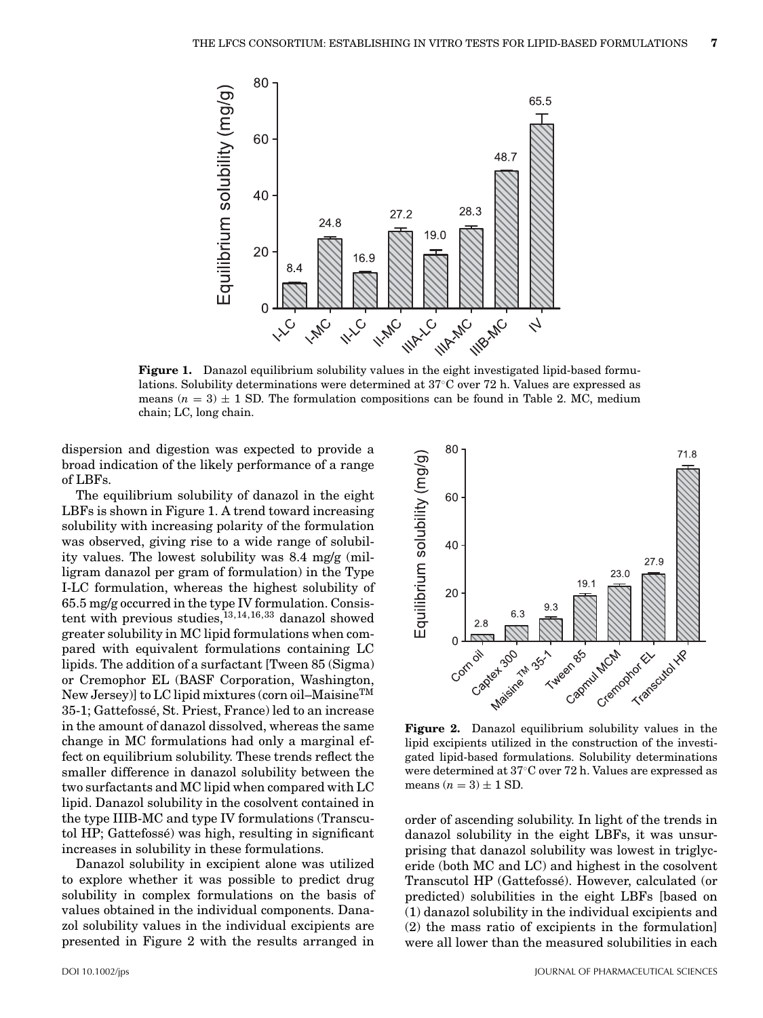

**Figure 1.** Danazol equilibrium solubility values in the eight investigated lipid-based formulations. Solubility determinations were determined at 37◦C over 72 h. Values are expressed as means  $(n = 3) \pm 1$  SD. The formulation compositions can be found in Table 2. MC, medium chain; LC, long chain.

dispersion and digestion was expected to provide a broad indication of the likely performance of a range of LBFs.

The equilibrium solubility of danazol in the eight LBFs is shown in Figure 1. A trend toward increasing solubility with increasing polarity of the formulation was observed, giving rise to a wide range of solubility values. The lowest solubility was 8.4 mg/g (milligram danazol per gram of formulation) in the Type I-LC formulation, whereas the highest solubility of 65.5 mg/g occurred in the type IV formulation. Consistent with previous studies, $^{13,14,16,33}$  danazol showed greater solubility in MC lipid formulations when compared with equivalent formulations containing LC lipids. The addition of a surfactant [Tween 85 (Sigma) or Cremophor EL (BASF Corporation, Washington, New Jersey)] to LC lipid mixtures (corn oil–MaisineTM 35-1; Gattefosse, St. Priest, France) led to an increase ´ in the amount of danazol dissolved, whereas the same change in MC formulations had only a marginal effect on equilibrium solubility. These trends reflect the smaller difference in danazol solubility between the two surfactants and MC lipid when compared with LC lipid. Danazol solubility in the cosolvent contained in the type IIIB-MC and type IV formulations (Transcutol HP; Gattefosse) was high, resulting in significant ´ increases in solubility in these formulations.

Danazol solubility in excipient alone was utilized to explore whether it was possible to predict drug solubility in complex formulations on the basis of values obtained in the individual components. Danazol solubility values in the individual excipients are presented in Figure 2 with the results arranged in



**Figure 2.** Danazol equilibrium solubility values in the lipid excipients utilized in the construction of the investigated lipid-based formulations. Solubility determinations were determined at 37◦C over 72 h. Values are expressed as means  $(n = 3) \pm 1$  SD.

order of ascending solubility. In light of the trends in danazol solubility in the eight LBFs, it was unsurprising that danazol solubility was lowest in triglyceride (both MC and LC) and highest in the cosolvent Transcutol HP (Gattefosse). However, calculated (or ´ predicted) solubilities in the eight LBFs [based on (1) danazol solubility in the individual excipients and (2) the mass ratio of excipients in the formulation] were all lower than the measured solubilities in each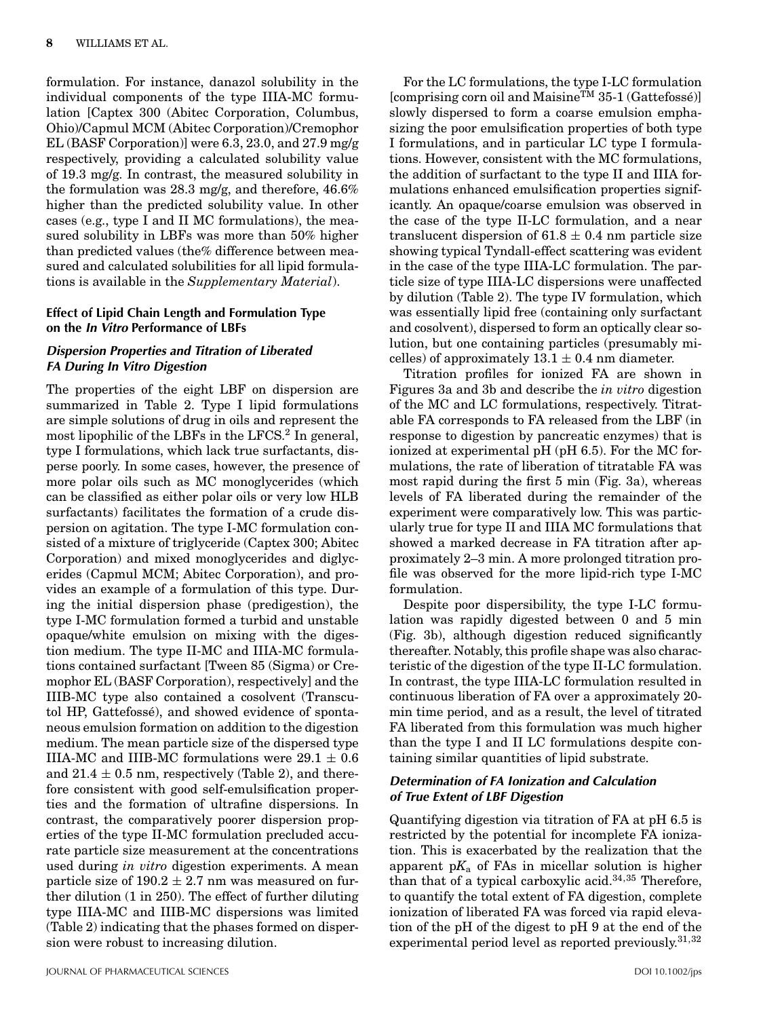formulation. For instance, danazol solubility in the individual components of the type IIIA-MC formulation [Captex 300 (Abitec Corporation, Columbus, Ohio)/Capmul MCM (Abitec Corporation)/Cremophor EL (BASF Corporation)] were 6.3, 23.0, and 27.9 mg/g respectively, providing a calculated solubility value of 19.3 mg/g. In contrast, the measured solubility in the formulation was 28.3 mg/g, and therefore, 46.6% higher than the predicted solubility value. In other cases (e.g., type I and II MC formulations), the measured solubility in LBFs was more than 50% higher than predicted values (the% difference between measured and calculated solubilities for all lipid formulations is available in the *Supplementary Material*).

#### **Effect of Lipid Chain Length and Formulation Type on the In Vitro Performance of LBFs**

## **Dispersion Properties and Titration of Liberated FA During In Vitro Digestion**

The properties of the eight LBF on dispersion are summarized in Table 2. Type I lipid formulations are simple solutions of drug in oils and represent the most lipophilic of the LBFs in the LFCS.<sup>2</sup> In general, type I formulations, which lack true surfactants, disperse poorly. In some cases, however, the presence of more polar oils such as MC monoglycerides (which can be classified as either polar oils or very low HLB surfactants) facilitates the formation of a crude dispersion on agitation. The type I-MC formulation consisted of a mixture of triglyceride (Captex 300; Abitec Corporation) and mixed monoglycerides and diglycerides (Capmul MCM; Abitec Corporation), and provides an example of a formulation of this type. During the initial dispersion phase (predigestion), the type I-MC formulation formed a turbid and unstable opaque/white emulsion on mixing with the digestion medium. The type II-MC and IIIA-MC formulations contained surfactant [Tween 85 (Sigma) or Cremophor EL (BASF Corporation), respectively] and the IIIB-MC type also contained a cosolvent (Transcutol HP, Gattefossé), and showed evidence of spontaneous emulsion formation on addition to the digestion medium. The mean particle size of the dispersed type IIIA-MC and IIIB-MC formulations were  $29.1 \pm 0.6$ and  $21.4 \pm 0.5$  nm, respectively (Table 2), and therefore consistent with good self-emulsification properties and the formation of ultrafine dispersions. In contrast, the comparatively poorer dispersion properties of the type II-MC formulation precluded accurate particle size measurement at the concentrations used during *in vitro* digestion experiments. A mean particle size of  $190.2 \pm 2.7$  nm was measured on further dilution (1 in 250). The effect of further diluting type IIIA-MC and IIIB-MC dispersions was limited (Table 2) indicating that the phases formed on dispersion were robust to increasing dilution.

For the LC formulations, the type I-LC formulation [comprising corn oil and Maisine<sup>TM</sup> 35-1 (Gattefossé)] slowly dispersed to form a coarse emulsion emphasizing the poor emulsification properties of both type I formulations, and in particular LC type I formulations. However, consistent with the MC formulations, the addition of surfactant to the type II and IIIA formulations enhanced emulsification properties significantly. An opaque/coarse emulsion was observed in the case of the type II-LC formulation, and a near translucent dispersion of  $61.8 \pm 0.4$  nm particle size showing typical Tyndall-effect scattering was evident in the case of the type IIIA-LC formulation. The particle size of type IIIA-LC dispersions were unaffected by dilution (Table 2). The type IV formulation, which was essentially lipid free (containing only surfactant and cosolvent), dispersed to form an optically clear solution, but one containing particles (presumably micelles) of approximately  $13.1 \pm 0.4$  nm diameter.

Titration profiles for ionized FA are shown in Figures 3a and 3b and describe the *in vitro* digestion of the MC and LC formulations, respectively. Titratable FA corresponds to FA released from the LBF (in response to digestion by pancreatic enzymes) that is ionized at experimental pH (pH 6.5). For the MC formulations, the rate of liberation of titratable FA was most rapid during the first 5 min (Fig. 3a), whereas levels of FA liberated during the remainder of the experiment were comparatively low. This was particularly true for type II and IIIA MC formulations that showed a marked decrease in FA titration after approximately 2–3 min. A more prolonged titration profile was observed for the more lipid-rich type I-MC formulation.

Despite poor dispersibility, the type I-LC formulation was rapidly digested between 0 and 5 min (Fig. 3b), although digestion reduced significantly thereafter. Notably, this profile shape was also characteristic of the digestion of the type II-LC formulation. In contrast, the type IIIA-LC formulation resulted in continuous liberation of FA over a approximately 20 min time period, and as a result, the level of titrated FA liberated from this formulation was much higher than the type I and II LC formulations despite containing similar quantities of lipid substrate.

#### **Determination of FA Ionization and Calculation of True Extent of LBF Digestion**

Quantifying digestion via titration of FA at pH 6.5 is restricted by the potential for incomplete FA ionization. This is exacerbated by the realization that the apparent  $pK_a$  of FAs in micellar solution is higher than that of a typical carboxylic acid.<sup>34,35</sup> Therefore, to quantify the total extent of FA digestion, complete ionization of liberated FA was forced via rapid elevation of the pH of the digest to pH 9 at the end of the experimental period level as reported previously.<sup>31,32</sup>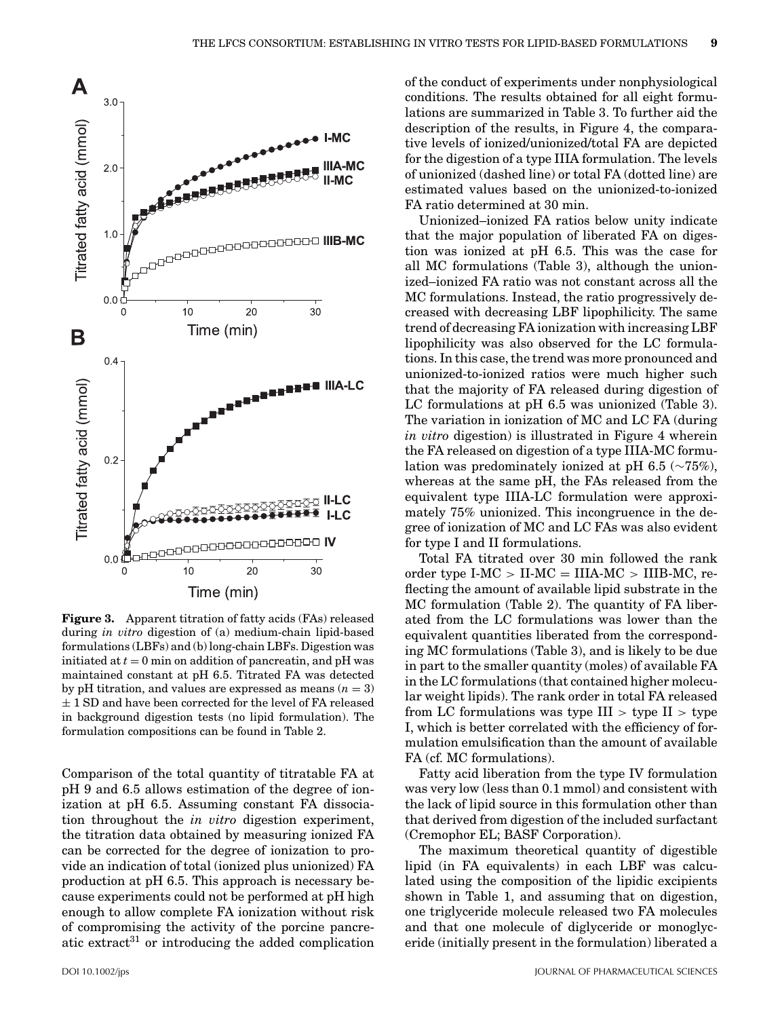

**Figure 3.** Apparent titration of fatty acids (FAs) released during *in vitro* digestion of (a) medium-chain lipid-based formulations (LBFs) and (b) long-chain LBFs. Digestion was initiated at  $t = 0$  min on addition of pancreatin, and  $pH$  was maintained constant at pH 6.5. Titrated FA was detected by pH titration, and values are expressed as means  $(n = 3)$  $\pm$  1 SD and have been corrected for the level of FA released in background digestion tests (no lipid formulation). The formulation compositions can be found in Table 2.

Comparison of the total quantity of titratable FA at pH 9 and 6.5 allows estimation of the degree of ionization at pH 6.5. Assuming constant FA dissociation throughout the *in vitro* digestion experiment, the titration data obtained by measuring ionized FA can be corrected for the degree of ionization to provide an indication of total (ionized plus unionized) FA production at pH 6.5. This approach is necessary because experiments could not be performed at pH high enough to allow complete FA ionization without risk of compromising the activity of the porcine pancreatic extract<sup>31</sup> or introducing the added complication of the conduct of experiments under nonphysiological conditions. The results obtained for all eight formulations are summarized in Table 3. To further aid the description of the results, in Figure 4, the comparative levels of ionized/unionized/total FA are depicted for the digestion of a type IIIA formulation. The levels of unionized (dashed line) or total FA (dotted line) are estimated values based on the unionized-to-ionized FA ratio determined at 30 min.

Unionized–ionized FA ratios below unity indicate that the major population of liberated FA on digestion was ionized at pH 6.5. This was the case for all MC formulations (Table 3), although the unionized–ionized FA ratio was not constant across all the MC formulations. Instead, the ratio progressively decreased with decreasing LBF lipophilicity. The same trend of decreasing FA ionization with increasing LBF lipophilicity was also observed for the LC formulations. In this case, the trend was more pronounced and unionized-to-ionized ratios were much higher such that the majority of FA released during digestion of LC formulations at pH 6.5 was unionized (Table 3). The variation in ionization of MC and LC FA (during *in vitro* digestion) is illustrated in Figure 4 wherein the FA released on digestion of a type IIIA-MC formulation was predominately ionized at pH 6.5 (∼75%), whereas at the same pH, the FAs released from the equivalent type IIIA-LC formulation were approximately 75% unionized. This incongruence in the degree of ionization of MC and LC FAs was also evident for type I and II formulations.

Total FA titrated over 30 min followed the rank order type  $I-MC > II-MC = IIIA-MC > IIIB-MC$ , reflecting the amount of available lipid substrate in the MC formulation (Table 2). The quantity of FA liberated from the LC formulations was lower than the equivalent quantities liberated from the corresponding MC formulations (Table 3), and is likely to be due in part to the smaller quantity (moles) of available FA in the LC formulations (that contained higher molecular weight lipids). The rank order in total FA released from LC formulations was type  $III$  > type  $II$  > type I, which is better correlated with the efficiency of formulation emulsification than the amount of available FA (cf. MC formulations).

Fatty acid liberation from the type IV formulation was very low (less than 0.1 mmol) and consistent with the lack of lipid source in this formulation other than that derived from digestion of the included surfactant (Cremophor EL; BASF Corporation).

The maximum theoretical quantity of digestible lipid (in FA equivalents) in each LBF was calculated using the composition of the lipidic excipients shown in Table 1, and assuming that on digestion, one triglyceride molecule released two FA molecules and that one molecule of diglyceride or monoglyceride (initially present in the formulation) liberated a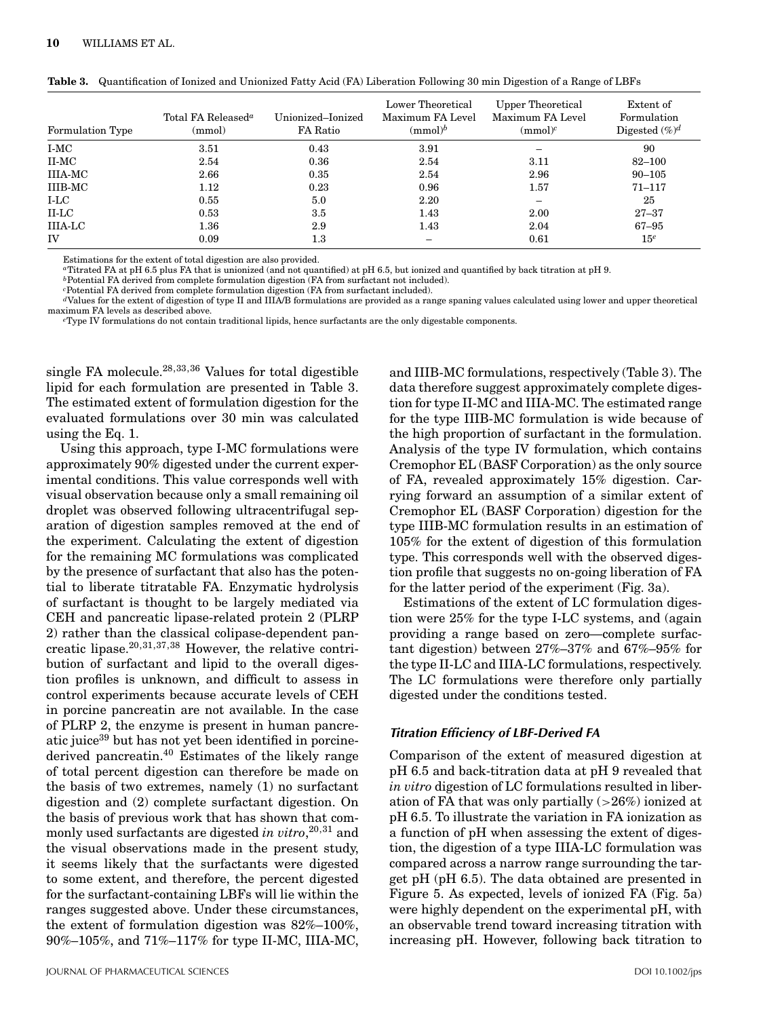| <b>Formulation Type</b> | Total FA Released <sup>a</sup><br>(mmol) | Unionized-Ionized<br>FA Ratio | Lower Theoretical<br>Maximum FA Level<br>$(mmol)^b$ | Upper Theoretical<br>Maximum FA Level<br>(mmol) <sup>c</sup> | Extent of<br>Formulation<br>Digested $(\%)^d$ |
|-------------------------|------------------------------------------|-------------------------------|-----------------------------------------------------|--------------------------------------------------------------|-----------------------------------------------|
| I-MC                    | 3.51                                     | 0.43                          | 3.91                                                |                                                              | 90                                            |
| II-MC                   | 2.54                                     | 0.36                          | 2.54                                                | 3.11                                                         | $82 - 100$                                    |
| IIIA-MC                 | 2.66                                     | 0.35                          | 2.54                                                | 2.96                                                         | $90 - 105$                                    |
| IIIB-MC                 | 1.12                                     | 0.23                          | 0.96                                                | 1.57                                                         | $71 - 117$                                    |
| $_{\rm I-LC}$           | 0.55                                     | 5.0                           | 2.20                                                | $\overline{\phantom{m}}$                                     | 25                                            |
| II-LC                   | 0.53                                     | $3.5\,$                       | 1.43                                                | 2.00                                                         | $27 - 37$                                     |
| IIIA-LC                 | 1.36                                     | 2.9                           | 1.43                                                | 2.04                                                         | 67-95                                         |
| IV                      | 0.09                                     | $1.3\,$                       |                                                     | 0.61                                                         | $15^e$                                        |

**Table 3.** Quantification of Ionized and Unionized Fatty Acid (FA) Liberation Following 30 min Digestion of a Range of LBFs

Estimations for the extent of total digestion are also provided.

*<sup>a</sup>*Titrated FA at pH 6.5 plus FA that is unionized (and not quantified) at pH 6.5, but ionized and quantified by back titration at pH 9.

*b*Potential FA derived from complete formulation digestion (FA from surfactant not included).

*<sup>c</sup>*Potential FA derived from complete formulation digestion (FA from surfactant included).

*<sup>d</sup>*Values for the extent of digestion of type II and IIIA/B formulations are provided as a range spaning values calculated using lower and upper theoretical maximum FA levels as described above.

*<sup>e</sup>*Type IV formulations do not contain traditional lipids, hence surfactants are the only digestable components.

single FA molecule. $^{28,33,36}$  Values for total digestible lipid for each formulation are presented in Table 3. The estimated extent of formulation digestion for the evaluated formulations over 30 min was calculated using the Eq. 1.

Using this approach, type I-MC formulations were approximately 90% digested under the current experimental conditions. This value corresponds well with visual observation because only a small remaining oil droplet was observed following ultracentrifugal separation of digestion samples removed at the end of the experiment. Calculating the extent of digestion for the remaining MC formulations was complicated by the presence of surfactant that also has the potential to liberate titratable FA. Enzymatic hydrolysis of surfactant is thought to be largely mediated via CEH and pancreatic lipase-related protein 2 (PLRP 2) rather than the classical colipase-dependent pancreatic lipase.20,31,37,38 However, the relative contribution of surfactant and lipid to the overall digestion profiles is unknown, and difficult to assess in control experiments because accurate levels of CEH in porcine pancreatin are not available. In the case of PLRP 2, the enzyme is present in human pancreatic juice<sup>39</sup> but has not yet been identified in porcinederived pancreatin.40 Estimates of the likely range of total percent digestion can therefore be made on the basis of two extremes, namely (1) no surfactant digestion and (2) complete surfactant digestion. On the basis of previous work that has shown that commonly used surfactants are digested *in vitro*, 20,31 and the visual observations made in the present study, it seems likely that the surfactants were digested to some extent, and therefore, the percent digested for the surfactant-containing LBFs will lie within the ranges suggested above. Under these circumstances, the extent of formulation digestion was 82%–100%, 90%–105%, and 71%–117% for type II-MC, IIIA-MC,

and IIIB-MC formulations, respectively (Table 3). The data therefore suggest approximately complete digestion for type II-MC and IIIA-MC. The estimated range for the type IIIB-MC formulation is wide because of the high proportion of surfactant in the formulation. Analysis of the type IV formulation, which contains Cremophor EL (BASF Corporation) as the only source of FA, revealed approximately 15% digestion. Carrying forward an assumption of a similar extent of Cremophor EL (BASF Corporation) digestion for the type IIIB-MC formulation results in an estimation of 105% for the extent of digestion of this formulation type. This corresponds well with the observed digestion profile that suggests no on-going liberation of FA for the latter period of the experiment (Fig. 3a).

Estimations of the extent of LC formulation digestion were 25% for the type I-LC systems, and (again providing a range based on zero—complete surfactant digestion) between 27%–37% and 67%–95% for the type II-LC and IIIA-LC formulations, respectively. The LC formulations were therefore only partially digested under the conditions tested.

#### **Titration Efficiency of LBF-Derived FA**

Comparison of the extent of measured digestion at pH 6.5 and back-titration data at pH 9 revealed that *in vitro* digestion of LC formulations resulted in liberation of FA that was only partially (*>*26%) ionized at pH 6.5. To illustrate the variation in FA ionization as a function of pH when assessing the extent of digestion, the digestion of a type IIIA-LC formulation was compared across a narrow range surrounding the target pH (pH 6.5). The data obtained are presented in Figure 5. As expected, levels of ionized FA (Fig. 5a) were highly dependent on the experimental pH, with an observable trend toward increasing titration with increasing pH. However, following back titration to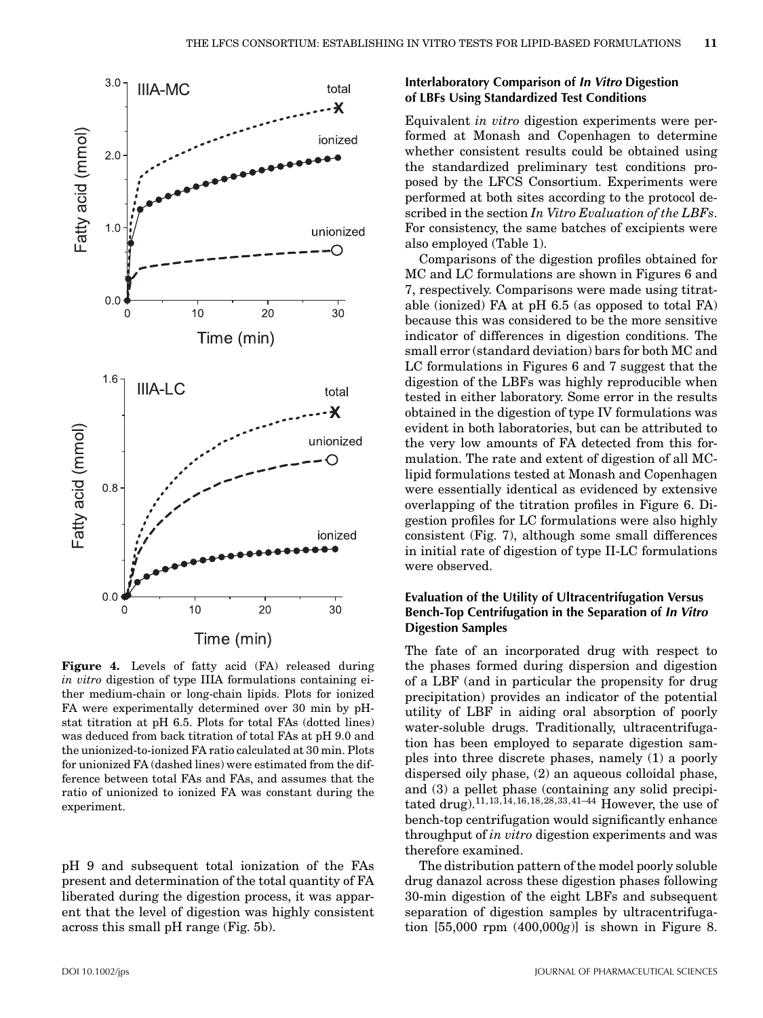

**Figure 4.** Levels of fatty acid (FA) released during *in vitro* digestion of type IIIA formulations containing either medium-chain or long-chain lipids. Plots for ionized FA were experimentally determined over 30 min by pHstat titration at pH 6.5. Plots for total FAs (dotted lines) was deduced from back titration of total FAs at pH 9.0 and the unionized-to-ionized FA ratio calculated at 30 min. Plots for unionized FA (dashed lines) were estimated from the difference between total FAs and FAs, and assumes that the ratio of unionized to ionized FA was constant during the experiment.

pH 9 and subsequent total ionization of the FAs present and determination of the total quantity of FA liberated during the digestion process, it was apparent that the level of digestion was highly consistent across this small pH range (Fig. 5b).

#### **Interlaboratory Comparison of In Vitro Digestion of LBFs Using Standardized Test Conditions**

Equivalent *in vitro* digestion experiments were performed at Monash and Copenhagen to determine whether consistent results could be obtained using the standardized preliminary test conditions proposed by the LFCS Consortium. Experiments were performed at both sites according to the protocol described in the section *In Vitro Evaluation of the LBFs*. For consistency, the same batches of excipients were also employed (Table 1).

Comparisons of the digestion profiles obtained for MC and LC formulations are shown in Figures 6 and 7, respectively. Comparisons were made using titratable (ionized) FA at pH 6.5 (as opposed to total FA) because this was considered to be the more sensitive indicator of differences in digestion conditions. The small error (standard deviation) bars for both MC and LC formulations in Figures 6 and 7 suggest that the digestion of the LBFs was highly reproducible when tested in either laboratory. Some error in the results obtained in the digestion of type IV formulations was evident in both laboratories, but can be attributed to the very low amounts of FA detected from this formulation. The rate and extent of digestion of all MClipid formulations tested at Monash and Copenhagen were essentially identical as evidenced by extensive overlapping of the titration profiles in Figure 6. Digestion profiles for LC formulations were also highly consistent (Fig. 7), although some small differences in initial rate of digestion of type II-LC formulations were observed.

## **Evaluation of the Utility of Ultracentrifugation Versus Bench-Top Centrifugation in the Separation of In Vitro Digestion Samples**

The fate of an incorporated drug with respect to the phases formed during dispersion and digestion of a LBF (and in particular the propensity for drug precipitation) provides an indicator of the potential utility of LBF in aiding oral absorption of poorly water-soluble drugs. Traditionally, ultracentrifugation has been employed to separate digestion samples into three discrete phases, namely (1) a poorly dispersed oily phase, (2) an aqueous colloidal phase, and (3) a pellet phase (containing any solid precipitated drug).11,13,14,16,18,28,33,41–44 However, the use of bench-top centrifugation would significantly enhance throughput of *in vitro* digestion experiments and was therefore examined.

The distribution pattern of the model poorly soluble drug danazol across these digestion phases following 30-min digestion of the eight LBFs and subsequent separation of digestion samples by ultracentrifugation [55,000 rpm (400,000*g*)] is shown in Figure 8.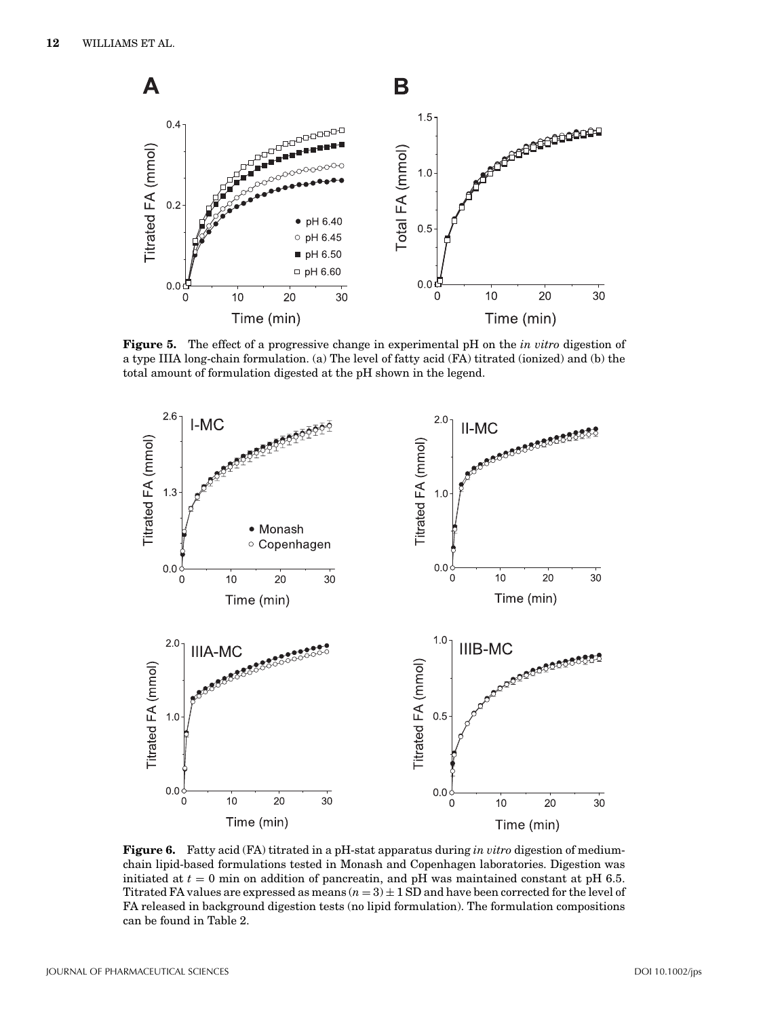

**Figure 5.** The effect of a progressive change in experimental pH on the *in vitro* digestion of a type IIIA long-chain formulation. (a) The level of fatty acid (FA) titrated (ionized) and (b) the total amount of formulation digested at the pH shown in the legend.



**Figure 6.** Fatty acid (FA) titrated in a pH-stat apparatus during *in vitro* digestion of mediumchain lipid-based formulations tested in Monash and Copenhagen laboratories. Digestion was initiated at  $t = 0$  min on addition of pancreatin, and pH was maintained constant at pH 6.5. Titrated FA values are expressed as means  $(n = 3) \pm 1$  SD and have been corrected for the level of FA released in background digestion tests (no lipid formulation). The formulation compositions can be found in Table 2.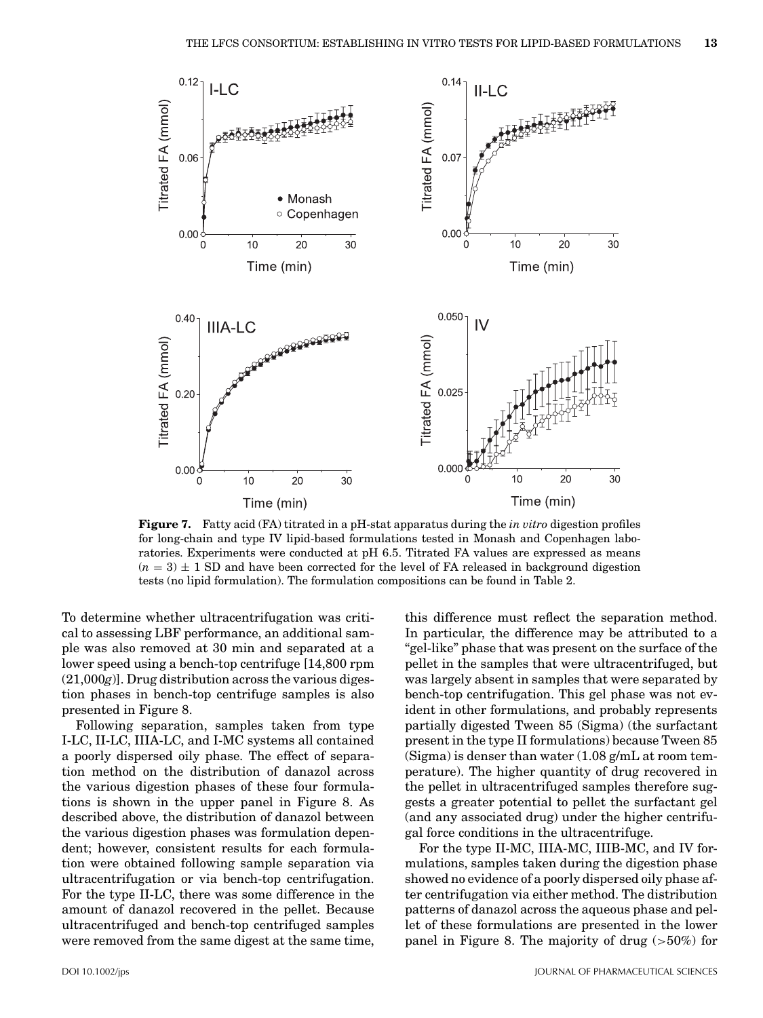

**Figure 7.** Fatty acid (FA) titrated in a pH-stat apparatus during the *in vitro* digestion profiles for long-chain and type IV lipid-based formulations tested in Monash and Copenhagen laboratories. Experiments were conducted at pH 6.5. Titrated FA values are expressed as means  $(n = 3) \pm 1$  SD and have been corrected for the level of FA released in background digestion tests (no lipid formulation). The formulation compositions can be found in Table 2.

To determine whether ultracentrifugation was critical to assessing LBF performance, an additional sample was also removed at 30 min and separated at a lower speed using a bench-top centrifuge [14,800 rpm (21,000*g*)]. Drug distribution across the various digestion phases in bench-top centrifuge samples is also presented in Figure 8.

Following separation, samples taken from type I-LC, II-LC, IIIA-LC, and I-MC systems all contained a poorly dispersed oily phase. The effect of separation method on the distribution of danazol across the various digestion phases of these four formulations is shown in the upper panel in Figure 8. As described above, the distribution of danazol between the various digestion phases was formulation dependent; however, consistent results for each formulation were obtained following sample separation via ultracentrifugation or via bench-top centrifugation. For the type II-LC, there was some difference in the amount of danazol recovered in the pellet. Because ultracentrifuged and bench-top centrifuged samples were removed from the same digest at the same time, this difference must reflect the separation method. In particular, the difference may be attributed to a "gel-like" phase that was present on the surface of the pellet in the samples that were ultracentrifuged, but was largely absent in samples that were separated by bench-top centrifugation. This gel phase was not evident in other formulations, and probably represents partially digested Tween 85 (Sigma) (the surfactant present in the type II formulations) because Tween 85 (Sigma) is denser than water  $(1.08 \text{ g/mL}$  at room temperature). The higher quantity of drug recovered in the pellet in ultracentrifuged samples therefore suggests a greater potential to pellet the surfactant gel (and any associated drug) under the higher centrifugal force conditions in the ultracentrifuge.

For the type II-MC, IIIA-MC, IIIB-MC, and IV formulations, samples taken during the digestion phase showed no evidence of a poorly dispersed oily phase after centrifugation via either method. The distribution patterns of danazol across the aqueous phase and pellet of these formulations are presented in the lower panel in Figure 8. The majority of drug (*>*50%) for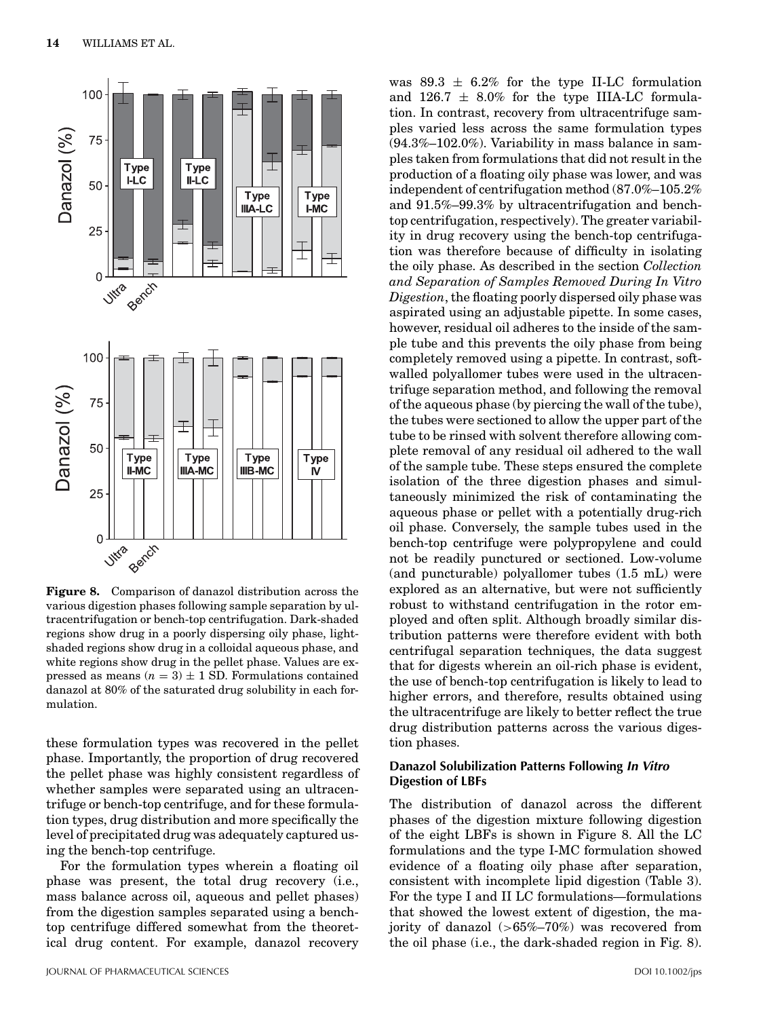

**Figure 8.** Comparison of danazol distribution across the various digestion phases following sample separation by ultracentrifugation or bench-top centrifugation. Dark-shaded regions show drug in a poorly dispersing oily phase, lightshaded regions show drug in a colloidal aqueous phase, and white regions show drug in the pellet phase. Values are expressed as means  $(n = 3) \pm 1$  SD. Formulations contained danazol at 80% of the saturated drug solubility in each formulation.

these formulation types was recovered in the pellet phase. Importantly, the proportion of drug recovered the pellet phase was highly consistent regardless of whether samples were separated using an ultracentrifuge or bench-top centrifuge, and for these formulation types, drug distribution and more specifically the level of precipitated drug was adequately captured using the bench-top centrifuge.

For the formulation types wherein a floating oil phase was present, the total drug recovery (i.e., mass balance across oil, aqueous and pellet phases) from the digestion samples separated using a benchtop centrifuge differed somewhat from the theoretical drug content. For example, danazol recovery

was 89.3  $\pm$  6.2% for the type II-LC formulation and  $126.7 \pm 8.0\%$  for the type IIIA-LC formulation. In contrast, recovery from ultracentrifuge samples varied less across the same formulation types  $(94.3\% - 102.0\%)$ . Variability in mass balance in samples taken from formulations that did not result in the production of a floating oily phase was lower, and was independent of centrifugation method (87.0%–105.2% and 91.5%–99.3% by ultracentrifugation and benchtop centrifugation, respectively). The greater variability in drug recovery using the bench-top centrifugation was therefore because of difficulty in isolating the oily phase. As described in the section *Collection and Separation of Samples Removed During In Vitro Digestion*, the floating poorly dispersed oily phase was aspirated using an adjustable pipette. In some cases, however, residual oil adheres to the inside of the sample tube and this prevents the oily phase from being completely removed using a pipette. In contrast, softwalled polyallomer tubes were used in the ultracentrifuge separation method, and following the removal of the aqueous phase (by piercing the wall of the tube), the tubes were sectioned to allow the upper part of the tube to be rinsed with solvent therefore allowing complete removal of any residual oil adhered to the wall of the sample tube. These steps ensured the complete isolation of the three digestion phases and simultaneously minimized the risk of contaminating the aqueous phase or pellet with a potentially drug-rich oil phase. Conversely, the sample tubes used in the bench-top centrifuge were polypropylene and could not be readily punctured or sectioned. Low-volume (and puncturable) polyallomer tubes (1.5 mL) were explored as an alternative, but were not sufficiently robust to withstand centrifugation in the rotor employed and often split. Although broadly similar distribution patterns were therefore evident with both centrifugal separation techniques, the data suggest that for digests wherein an oil-rich phase is evident, the use of bench-top centrifugation is likely to lead to higher errors, and therefore, results obtained using the ultracentrifuge are likely to better reflect the true drug distribution patterns across the various digestion phases.

#### **Danazol Solubilization Patterns Following In Vitro Digestion of LBFs**

The distribution of danazol across the different phases of the digestion mixture following digestion of the eight LBFs is shown in Figure 8. All the LC formulations and the type I-MC formulation showed evidence of a floating oily phase after separation, consistent with incomplete lipid digestion (Table 3). For the type I and II LC formulations—formulations that showed the lowest extent of digestion, the majority of danazol (*>*65%–70%) was recovered from the oil phase (i.e., the dark-shaded region in Fig. 8).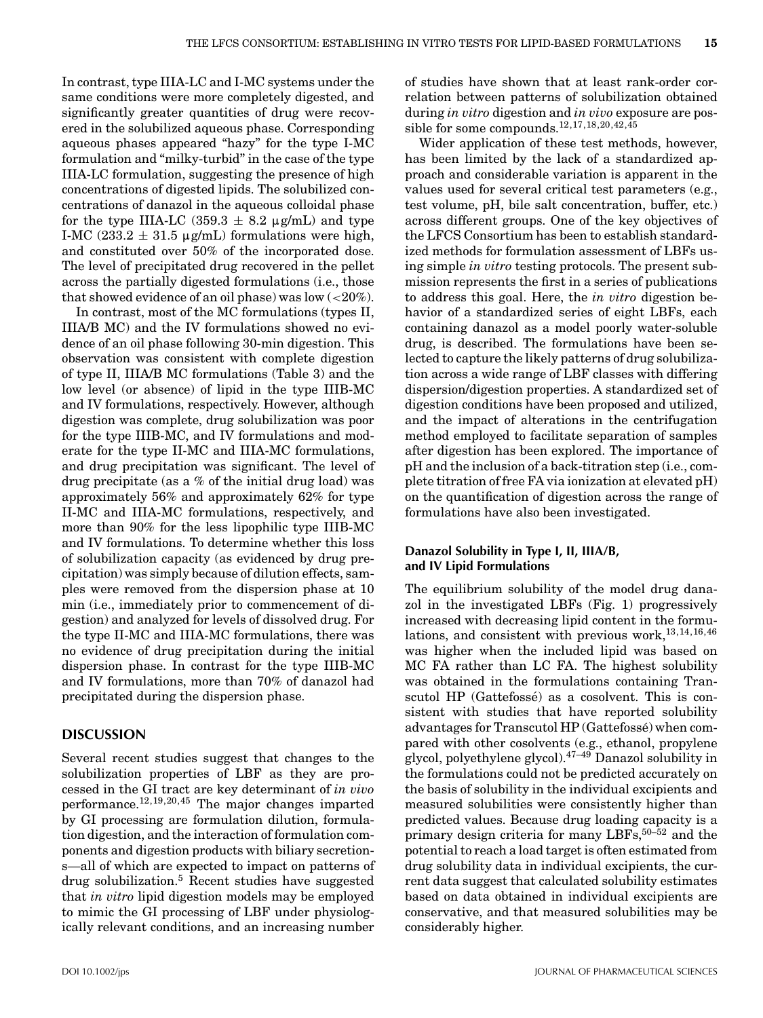In contrast, type IIIA-LC and I-MC systems under the same conditions were more completely digested, and significantly greater quantities of drug were recovered in the solubilized aqueous phase. Corresponding aqueous phases appeared "hazy" for the type I-MC formulation and "milky-turbid" in the case of the type IIIA-LC formulation, suggesting the presence of high concentrations of digested lipids. The solubilized concentrations of danazol in the aqueous colloidal phase for the type IIIA-LC (359.3  $\pm$  8.2  $\mu$ g/mL) and type I-MC (233.2  $\pm$  31.5  $\mu$ g/mL) formulations were high, and constituted over 50% of the incorporated dose. The level of precipitated drug recovered in the pellet across the partially digested formulations (i.e., those that showed evidence of an oil phase) was low (*<*20%).

In contrast, most of the MC formulations (types II, IIIA/B MC) and the IV formulations showed no evidence of an oil phase following 30-min digestion. This observation was consistent with complete digestion of type II, IIIA/B MC formulations (Table 3) and the low level (or absence) of lipid in the type IIIB-MC and IV formulations, respectively. However, although digestion was complete, drug solubilization was poor for the type IIIB-MC, and IV formulations and moderate for the type II-MC and IIIA-MC formulations, and drug precipitation was significant. The level of drug precipitate (as a % of the initial drug load) was approximately 56% and approximately 62% for type II-MC and IIIA-MC formulations, respectively, and more than 90% for the less lipophilic type IIIB-MC and IV formulations. To determine whether this loss of solubilization capacity (as evidenced by drug precipitation) was simply because of dilution effects, samples were removed from the dispersion phase at 10 min (i.e., immediately prior to commencement of digestion) and analyzed for levels of dissolved drug. For the type II-MC and IIIA-MC formulations, there was no evidence of drug precipitation during the initial dispersion phase. In contrast for the type IIIB-MC and IV formulations, more than 70% of danazol had precipitated during the dispersion phase.

#### **DISCUSSION**

Several recent studies suggest that changes to the solubilization properties of LBF as they are processed in the GI tract are key determinant of *in vivo* performance.12,19,20,45 The major changes imparted by GI processing are formulation dilution, formulation digestion, and the interaction of formulation components and digestion products with biliary secretions—all of which are expected to impact on patterns of drug solubilization.<sup>5</sup> Recent studies have suggested that *in vitro* lipid digestion models may be employed to mimic the GI processing of LBF under physiologically relevant conditions, and an increasing number

of studies have shown that at least rank-order correlation between patterns of solubilization obtained during *in vitro* digestion and *in vivo* exposure are possible for some compounds.12,17,18,20,42,45

Wider application of these test methods, however, has been limited by the lack of a standardized approach and considerable variation is apparent in the values used for several critical test parameters (e.g., test volume, pH, bile salt concentration, buffer, etc.) across different groups. One of the key objectives of the LFCS Consortium has been to establish standardized methods for formulation assessment of LBFs using simple *in vitro* testing protocols. The present submission represents the first in a series of publications to address this goal. Here, the *in vitro* digestion behavior of a standardized series of eight LBFs, each containing danazol as a model poorly water-soluble drug, is described. The formulations have been selected to capture the likely patterns of drug solubilization across a wide range of LBF classes with differing dispersion/digestion properties. A standardized set of digestion conditions have been proposed and utilized, and the impact of alterations in the centrifugation method employed to facilitate separation of samples after digestion has been explored. The importance of pH and the inclusion of a back-titration step (i.e., complete titration of free FA via ionization at elevated pH) on the quantification of digestion across the range of formulations have also been investigated.

## **Danazol Solubility in Type I, II, IIIA/B, and IV Lipid Formulations**

The equilibrium solubility of the model drug danazol in the investigated LBFs (Fig. 1) progressively increased with decreasing lipid content in the formulations, and consistent with previous work,<sup>13,14,16,46</sup> was higher when the included lipid was based on MC FA rather than LC FA. The highest solubility was obtained in the formulations containing Transcutol HP (Gattefossé) as a cosolvent. This is consistent with studies that have reported solubility advantages for Transcutol HP (Gattefosse) when com- ´ pared with other cosolvents (e.g., ethanol, propylene glycol, polyethylene glycol).47–49 Danazol solubility in the formulations could not be predicted accurately on the basis of solubility in the individual excipients and measured solubilities were consistently higher than predicted values. Because drug loading capacity is a primary design criteria for many LBFs,  $50-\overline{52}$  and the potential to reach a load target is often estimated from drug solubility data in individual excipients, the current data suggest that calculated solubility estimates based on data obtained in individual excipients are conservative, and that measured solubilities may be considerably higher.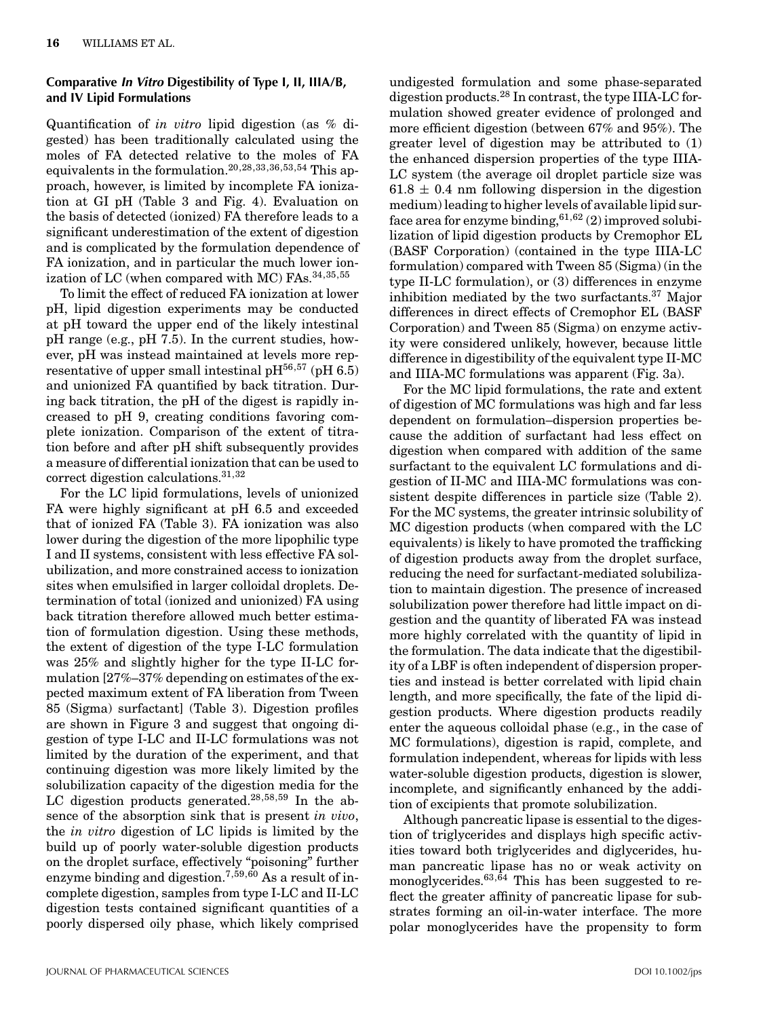#### **Comparative In Vitro Digestibility of Type I, II, IIIA/B, and IV Lipid Formulations**

Quantification of *in vitro* lipid digestion (as % digested) has been traditionally calculated using the moles of FA detected relative to the moles of FA equivalents in the formulation.20,28,33,36,53,54 This approach, however, is limited by incomplete FA ionization at GI pH (Table 3 and Fig. 4). Evaluation on the basis of detected (ionized) FA therefore leads to a significant underestimation of the extent of digestion and is complicated by the formulation dependence of FA ionization, and in particular the much lower ionization of LC (when compared with MC) FAs.<sup>34,35,55</sup>

To limit the effect of reduced FA ionization at lower pH, lipid digestion experiments may be conducted at pH toward the upper end of the likely intestinal pH range (e.g., pH 7.5). In the current studies, however, pH was instead maintained at levels more representative of upper small intestinal pH $^{56,57}$  (pH $6.5$ ) and unionized FA quantified by back titration. During back titration, the pH of the digest is rapidly increased to pH 9, creating conditions favoring complete ionization. Comparison of the extent of titration before and after pH shift subsequently provides a measure of differential ionization that can be used to correct digestion calculations.<sup>31,32</sup>

For the LC lipid formulations, levels of unionized FA were highly significant at pH 6.5 and exceeded that of ionized FA (Table 3). FA ionization was also lower during the digestion of the more lipophilic type I and II systems, consistent with less effective FA solubilization, and more constrained access to ionization sites when emulsified in larger colloidal droplets. Determination of total (ionized and unionized) FA using back titration therefore allowed much better estimation of formulation digestion. Using these methods, the extent of digestion of the type I-LC formulation was 25% and slightly higher for the type II-LC formulation [27%–37% depending on estimates of the expected maximum extent of FA liberation from Tween 85 (Sigma) surfactant] (Table 3). Digestion profiles are shown in Figure 3 and suggest that ongoing digestion of type I-LC and II-LC formulations was not limited by the duration of the experiment, and that continuing digestion was more likely limited by the solubilization capacity of the digestion media for the LC digestion products generated.<sup>28,58,59</sup> In the absence of the absorption sink that is present *in vivo*, the *in vitro* digestion of LC lipids is limited by the build up of poorly water-soluble digestion products on the droplet surface, effectively "poisoning" further enzyme binding and digestion.<sup>7,59,60</sup> As a result of incomplete digestion, samples from type I-LC and II-LC digestion tests contained significant quantities of a poorly dispersed oily phase, which likely comprised

undigested formulation and some phase-separated digestion products.<sup>28</sup> In contrast, the type IIIA-LC formulation showed greater evidence of prolonged and more efficient digestion (between 67% and 95%). The greater level of digestion may be attributed to (1) the enhanced dispersion properties of the type IIIA-LC system (the average oil droplet particle size was  $61.8 \pm 0.4$  nm following dispersion in the digestion medium) leading to higher levels of available lipid surface area for enzyme binding,  $61,62$  (2) improved solubilization of lipid digestion products by Cremophor EL (BASF Corporation) (contained in the type IIIA-LC formulation) compared with Tween 85 (Sigma) (in the type II-LC formulation), or (3) differences in enzyme inhibition mediated by the two surfactants.<sup>37</sup> Major differences in direct effects of Cremophor EL (BASF Corporation) and Tween 85 (Sigma) on enzyme activity were considered unlikely, however, because little difference in digestibility of the equivalent type II-MC and IIIA-MC formulations was apparent (Fig. 3a).

For the MC lipid formulations, the rate and extent of digestion of MC formulations was high and far less dependent on formulation–dispersion properties because the addition of surfactant had less effect on digestion when compared with addition of the same surfactant to the equivalent LC formulations and digestion of II-MC and IIIA-MC formulations was consistent despite differences in particle size (Table 2). For the MC systems, the greater intrinsic solubility of MC digestion products (when compared with the LC equivalents) is likely to have promoted the trafficking of digestion products away from the droplet surface, reducing the need for surfactant-mediated solubilization to maintain digestion. The presence of increased solubilization power therefore had little impact on digestion and the quantity of liberated FA was instead more highly correlated with the quantity of lipid in the formulation. The data indicate that the digestibility of a LBF is often independent of dispersion properties and instead is better correlated with lipid chain length, and more specifically, the fate of the lipid digestion products. Where digestion products readily enter the aqueous colloidal phase (e.g., in the case of MC formulations), digestion is rapid, complete, and formulation independent, whereas for lipids with less water-soluble digestion products, digestion is slower, incomplete, and significantly enhanced by the addition of excipients that promote solubilization.

Although pancreatic lipase is essential to the digestion of triglycerides and displays high specific activities toward both triglycerides and diglycerides, human pancreatic lipase has no or weak activity on monoglycerides. $63,64$  This has been suggested to reflect the greater affinity of pancreatic lipase for substrates forming an oil-in-water interface. The more polar monoglycerides have the propensity to form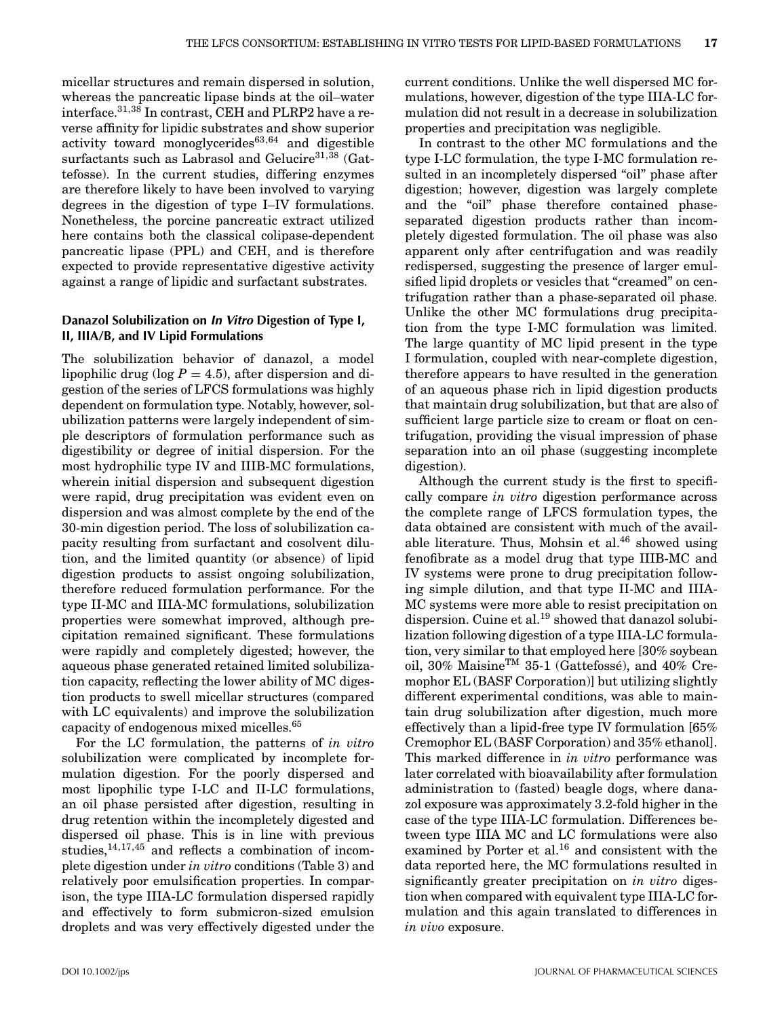micellar structures and remain dispersed in solution, whereas the pancreatic lipase binds at the oil–water interface.31,38 In contrast, CEH and PLRP2 have a reverse affinity for lipidic substrates and show superior activity toward monoglycerides $63,64$  and digestible surfactants such as Labrasol and Gelucire $31,38$  (Gattefosse). In the current studies, differing enzymes are therefore likely to have been involved to varying degrees in the digestion of type I–IV formulations. Nonetheless, the porcine pancreatic extract utilized here contains both the classical colipase-dependent pancreatic lipase (PPL) and CEH, and is therefore expected to provide representative digestive activity against a range of lipidic and surfactant substrates.

#### **Danazol Solubilization on In Vitro Digestion of Type I, II, IIIA/B, and IV Lipid Formulations**

The solubilization behavior of danazol, a model lipophilic drug ( $log P = 4.5$ ), after dispersion and digestion of the series of LFCS formulations was highly dependent on formulation type. Notably, however, solubilization patterns were largely independent of simple descriptors of formulation performance such as digestibility or degree of initial dispersion. For the most hydrophilic type IV and IIIB-MC formulations, wherein initial dispersion and subsequent digestion were rapid, drug precipitation was evident even on dispersion and was almost complete by the end of the 30-min digestion period. The loss of solubilization capacity resulting from surfactant and cosolvent dilution, and the limited quantity (or absence) of lipid digestion products to assist ongoing solubilization, therefore reduced formulation performance. For the type II-MC and IIIA-MC formulations, solubilization properties were somewhat improved, although precipitation remained significant. These formulations were rapidly and completely digested; however, the aqueous phase generated retained limited solubilization capacity, reflecting the lower ability of MC digestion products to swell micellar structures (compared with LC equivalents) and improve the solubilization capacity of endogenous mixed micelles.65

For the LC formulation, the patterns of *in vitro* solubilization were complicated by incomplete formulation digestion. For the poorly dispersed and most lipophilic type I-LC and II-LC formulations, an oil phase persisted after digestion, resulting in drug retention within the incompletely digested and dispersed oil phase. This is in line with previous studies,  $14,17,45$  and reflects a combination of incomplete digestion under *in vitro* conditions (Table 3) and relatively poor emulsification properties. In comparison, the type IIIA-LC formulation dispersed rapidly and effectively to form submicron-sized emulsion droplets and was very effectively digested under the current conditions. Unlike the well dispersed MC formulations, however, digestion of the type IIIA-LC formulation did not result in a decrease in solubilization properties and precipitation was negligible.

In contrast to the other MC formulations and the type I-LC formulation, the type I-MC formulation resulted in an incompletely dispersed "oil" phase after digestion; however, digestion was largely complete and the "oil" phase therefore contained phaseseparated digestion products rather than incompletely digested formulation. The oil phase was also apparent only after centrifugation and was readily redispersed, suggesting the presence of larger emulsified lipid droplets or vesicles that "creamed" on centrifugation rather than a phase-separated oil phase. Unlike the other MC formulations drug precipitation from the type I-MC formulation was limited. The large quantity of MC lipid present in the type I formulation, coupled with near-complete digestion, therefore appears to have resulted in the generation of an aqueous phase rich in lipid digestion products that maintain drug solubilization, but that are also of sufficient large particle size to cream or float on centrifugation, providing the visual impression of phase separation into an oil phase (suggesting incomplete digestion).

Although the current study is the first to specifically compare *in vitro* digestion performance across the complete range of LFCS formulation types, the data obtained are consistent with much of the available literature. Thus, Mohsin et al. $46$  showed using fenofibrate as a model drug that type IIIB-MC and IV systems were prone to drug precipitation following simple dilution, and that type II-MC and IIIA-MC systems were more able to resist precipitation on dispersion. Cuine et al.<sup>19</sup> showed that danazol solubilization following digestion of a type IIIA-LC formulation, very similar to that employed here [30% soybean oil,  $30\%$  Maisine<sup>TM</sup> 35-1 (Gattefossé), and  $40\%$  Cremophor EL (BASF Corporation)] but utilizing slightly different experimental conditions, was able to maintain drug solubilization after digestion, much more effectively than a lipid-free type IV formulation [65% Cremophor EL (BASF Corporation) and 35% ethanol]. This marked difference in *in vitro* performance was later correlated with bioavailability after formulation administration to (fasted) beagle dogs, where danazol exposure was approximately 3.2-fold higher in the case of the type IIIA-LC formulation. Differences between type IIIA MC and LC formulations were also examined by Porter et al.<sup>16</sup> and consistent with the data reported here, the MC formulations resulted in significantly greater precipitation on *in vitro* digestion when compared with equivalent type IIIA-LC formulation and this again translated to differences in *in vivo* exposure.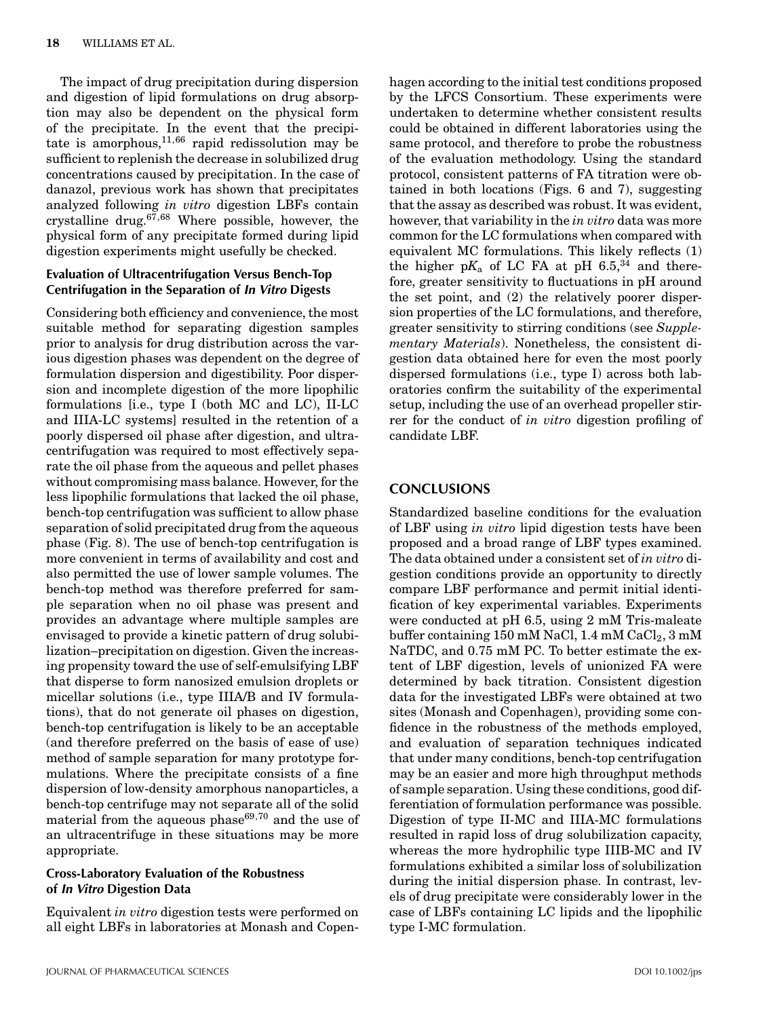The impact of drug precipitation during dispersion and digestion of lipid formulations on drug absorption may also be dependent on the physical form of the precipitate. In the event that the precipitate is amorphous,  $11,66$  rapid redissolution may be sufficient to replenish the decrease in solubilized drug concentrations caused by precipitation. In the case of danazol, previous work has shown that precipitates analyzed following *in vitro* digestion LBFs contain crystalline drug. $67,68$  Where possible, however, the physical form of any precipitate formed during lipid digestion experiments might usefully be checked.

## **Evaluation of Ultracentrifugation Versus Bench-Top Centrifugation in the Separation of In Vitro Digests**

Considering both efficiency and convenience, the most suitable method for separating digestion samples prior to analysis for drug distribution across the various digestion phases was dependent on the degree of formulation dispersion and digestibility. Poor dispersion and incomplete digestion of the more lipophilic formulations [i.e., type I (both MC and LC), II-LC and IIIA-LC systems] resulted in the retention of a poorly dispersed oil phase after digestion, and ultracentrifugation was required to most effectively separate the oil phase from the aqueous and pellet phases without compromising mass balance. However, for the less lipophilic formulations that lacked the oil phase, bench-top centrifugation was sufficient to allow phase separation of solid precipitated drug from the aqueous phase (Fig. 8). The use of bench-top centrifugation is more convenient in terms of availability and cost and also permitted the use of lower sample volumes. The bench-top method was therefore preferred for sample separation when no oil phase was present and provides an advantage where multiple samples are envisaged to provide a kinetic pattern of drug solubilization–precipitation on digestion. Given the increasing propensity toward the use of self-emulsifying LBF that disperse to form nanosized emulsion droplets or micellar solutions (i.e., type IIIA/B and IV formulations), that do not generate oil phases on digestion, bench-top centrifugation is likely to be an acceptable (and therefore preferred on the basis of ease of use) method of sample separation for many prototype formulations. Where the precipitate consists of a fine dispersion of low-density amorphous nanoparticles, a bench-top centrifuge may not separate all of the solid material from the aqueous phase  $69,70$  and the use of an ultracentrifuge in these situations may be more appropriate.

#### **Cross-Laboratory Evaluation of the Robustness of In Vitro Digestion Data**

Equivalent *in vitro* digestion tests were performed on all eight LBFs in laboratories at Monash and Copen-

hagen according to the initial test conditions proposed by the LFCS Consortium. These experiments were undertaken to determine whether consistent results could be obtained in different laboratories using the same protocol, and therefore to probe the robustness of the evaluation methodology. Using the standard protocol, consistent patterns of FA titration were obtained in both locations (Figs. 6 and 7), suggesting that the assay as described was robust. It was evident, however, that variability in the *in vitro* data was more common for the LC formulations when compared with equivalent MC formulations. This likely reflects (1) the higher  $pK_a$  of LC FA at pH 6.5,<sup>34</sup> and therefore, greater sensitivity to fluctuations in pH around the set point, and (2) the relatively poorer dispersion properties of the LC formulations, and therefore, greater sensitivity to stirring conditions (see *Supplementary Materials*). Nonetheless, the consistent digestion data obtained here for even the most poorly dispersed formulations (i.e., type I) across both laboratories confirm the suitability of the experimental setup, including the use of an overhead propeller stirrer for the conduct of *in vitro* digestion profiling of candidate LBF.

# **CONCLUSIONS**

Standardized baseline conditions for the evaluation of LBF using *in vitro* lipid digestion tests have been proposed and a broad range of LBF types examined. The data obtained under a consistent set of *in vitro* digestion conditions provide an opportunity to directly compare LBF performance and permit initial identification of key experimental variables. Experiments were conducted at pH 6.5, using 2 mM Tris-maleate buffer containing  $150$  mM NaCl,  $1.4$  mM CaCl<sub>2</sub>,  $3$  mM NaTDC, and 0.75 mM PC. To better estimate the extent of LBF digestion, levels of unionized FA were determined by back titration. Consistent digestion data for the investigated LBFs were obtained at two sites (Monash and Copenhagen), providing some confidence in the robustness of the methods employed, and evaluation of separation techniques indicated that under many conditions, bench-top centrifugation may be an easier and more high throughput methods of sample separation. Using these conditions, good differentiation of formulation performance was possible. Digestion of type II-MC and IIIA-MC formulations resulted in rapid loss of drug solubilization capacity, whereas the more hydrophilic type IIIB-MC and IV formulations exhibited a similar loss of solubilization during the initial dispersion phase. In contrast, levels of drug precipitate were considerably lower in the case of LBFs containing LC lipids and the lipophilic type I-MC formulation.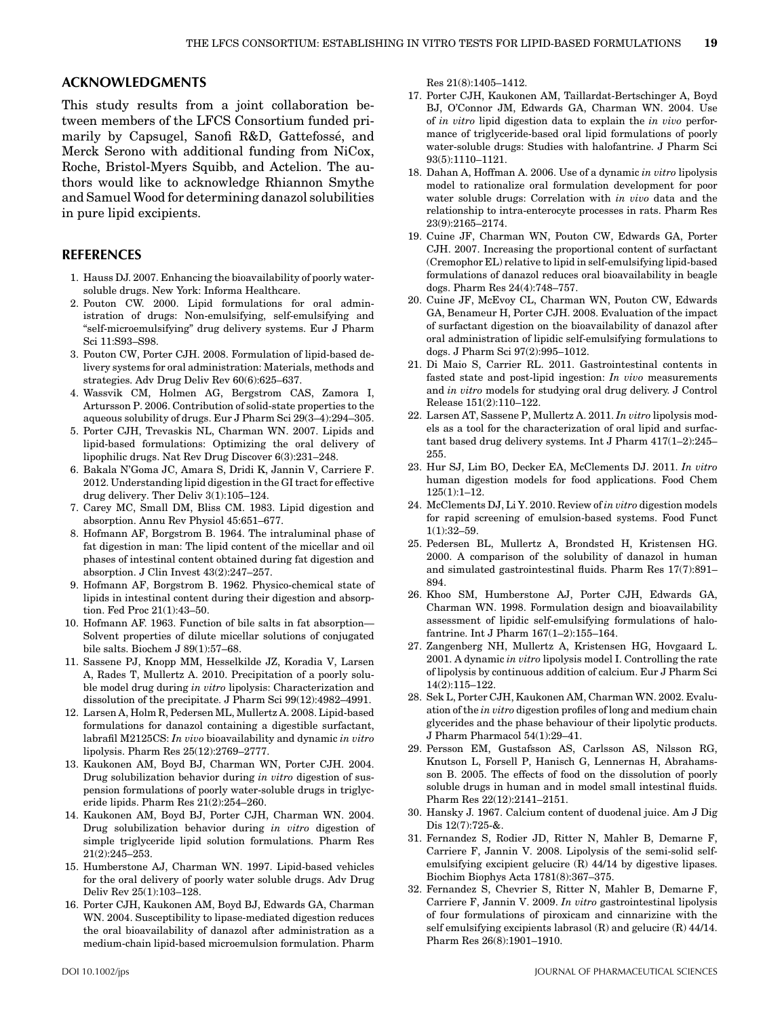#### **ACKNOWLEDGMENTS**

This study results from a joint collaboration between members of the LFCS Consortium funded primarily by Capsugel, Sanofi R&D, Gattefossé, and Merck Serono with additional funding from NiCox, Roche, Bristol-Myers Squibb, and Actelion. The authors would like to acknowledge Rhiannon Smythe and Samuel Wood for determining danazol solubilities in pure lipid excipients.

#### **REFERENCES**

- 1. Hauss DJ. 2007. Enhancing the bioavailability of poorly watersoluble drugs. New York: Informa Healthcare.
- 2. Pouton CW. 2000. Lipid formulations for oral administration of drugs: Non-emulsifying, self-emulsifying and "self-microemulsifying" drug delivery systems. Eur J Pharm Sci 11:S93–S98.
- 3. Pouton CW, Porter CJH. 2008. Formulation of lipid-based delivery systems for oral administration: Materials, methods and strategies. Adv Drug Deliv Rev 60(6):625–637.
- 4. Wassvik CM, Holmen AG, Bergstrom CAS, Zamora I, Artursson P. 2006. Contribution of solid-state properties to the aqueous solubility of drugs. Eur J Pharm Sci 29(3–4):294–305.
- 5. Porter CJH, Trevaskis NL, Charman WN. 2007. Lipids and lipid-based formulations: Optimizing the oral delivery of lipophilic drugs. Nat Rev Drug Discover 6(3):231–248.
- 6. Bakala N'Goma JC, Amara S, Dridi K, Jannin V, Carriere F. 2012. Understanding lipid digestion in the GI tract for effective drug delivery. Ther Deliv 3(1):105–124.
- 7. Carey MC, Small DM, Bliss CM. 1983. Lipid digestion and absorption. Annu Rev Physiol 45:651–677.
- 8. Hofmann AF, Borgstrom B. 1964. The intraluminal phase of fat digestion in man: The lipid content of the micellar and oil phases of intestinal content obtained during fat digestion and absorption. J Clin Invest 43(2):247–257.
- 9. Hofmann AF, Borgstrom B. 1962. Physico-chemical state of lipids in intestinal content during their digestion and absorption. Fed Proc 21(1):43–50.
- 10. Hofmann AF. 1963. Function of bile salts in fat absorption— Solvent properties of dilute micellar solutions of conjugated bile salts. Biochem J 89(1):57–68.
- 11. Sassene PJ, Knopp MM, Hesselkilde JZ, Koradia V, Larsen A, Rades T, Mullertz A. 2010. Precipitation of a poorly soluble model drug during *in vitro* lipolysis: Characterization and dissolution of the precipitate. J Pharm Sci 99(12):4982–4991.
- 12. Larsen A, Holm R, Pedersen ML, Mullertz A. 2008. Lipid-based formulations for danazol containing a digestible surfactant, labrafil M2125CS: *In vivo* bioavailability and dynamic *in vitro* lipolysis. Pharm Res 25(12):2769–2777.
- 13. Kaukonen AM, Boyd BJ, Charman WN, Porter CJH. 2004. Drug solubilization behavior during *in vitro* digestion of suspension formulations of poorly water-soluble drugs in triglyceride lipids. Pharm Res 21(2):254–260.
- 14. Kaukonen AM, Boyd BJ, Porter CJH, Charman WN. 2004. Drug solubilization behavior during *in vitro* digestion of simple triglyceride lipid solution formulations. Pharm Res 21(2):245–253.
- 15. Humberstone AJ, Charman WN. 1997. Lipid-based vehicles for the oral delivery of poorly water soluble drugs. Adv Drug Deliv Rev 25(1):103–128.
- 16. Porter CJH, Kaukonen AM, Boyd BJ, Edwards GA, Charman WN. 2004. Susceptibility to lipase-mediated digestion reduces the oral bioavailability of danazol after administration as a medium-chain lipid-based microemulsion formulation. Pharm

Res 21(8):1405–1412.

- 17. Porter CJH, Kaukonen AM, Taillardat-Bertschinger A, Boyd BJ, O'Connor JM, Edwards GA, Charman WN. 2004. Use of *in vitro* lipid digestion data to explain the *in vivo* performance of triglyceride-based oral lipid formulations of poorly water-soluble drugs: Studies with halofantrine. J Pharm Sci 93(5):1110–1121.
- 18. Dahan A, Hoffman A. 2006. Use of a dynamic *in vitro* lipolysis model to rationalize oral formulation development for poor water soluble drugs: Correlation with *in vivo* data and the relationship to intra-enterocyte processes in rats. Pharm Res 23(9):2165–2174.
- 19. Cuine JF, Charman WN, Pouton CW, Edwards GA, Porter CJH. 2007. Increasing the proportional content of surfactant (Cremophor EL) relative to lipid in self-emulsifying lipid-based formulations of danazol reduces oral bioavailability in beagle dogs. Pharm Res 24(4):748–757.
- 20. Cuine JF, McEvoy CL, Charman WN, Pouton CW, Edwards GA, Benameur H, Porter CJH. 2008. Evaluation of the impact of surfactant digestion on the bioavailability of danazol after oral administration of lipidic self-emulsifying formulations to dogs. J Pharm Sci 97(2):995–1012.
- 21. Di Maio S, Carrier RL. 2011. Gastrointestinal contents in fasted state and post-lipid ingestion: *In vivo* measurements and *in vitro* models for studying oral drug delivery. J Control Release 151(2):110–122.
- 22. Larsen AT, Sassene P, Mullertz A. 2011. *In vitro* lipolysis models as a tool for the characterization of oral lipid and surfactant based drug delivery systems. Int J Pharm 417(1–2):245– 255.
- 23. Hur SJ, Lim BO, Decker EA, McClements DJ. 2011. *In vitro* human digestion models for food applications. Food Chem 125(1):1–12.
- 24. McClements DJ, Li Y. 2010. Review of *in vitro* digestion models for rapid screening of emulsion-based systems. Food Funct 1(1):32–59.
- 25. Pedersen BL, Mullertz A, Brondsted H, Kristensen HG. 2000. A comparison of the solubility of danazol in human and simulated gastrointestinal fluids. Pharm Res 17(7):891– 894.
- 26. Khoo SM, Humberstone AJ, Porter CJH, Edwards GA, Charman WN. 1998. Formulation design and bioavailability assessment of lipidic self-emulsifying formulations of halofantrine. Int J Pharm 167(1–2):155–164.
- 27. Zangenberg NH, Mullertz A, Kristensen HG, Hovgaard L. 2001. A dynamic *in vitro* lipolysis model I. Controlling the rate of lipolysis by continuous addition of calcium. Eur J Pharm Sci 14(2):115–122.
- 28. Sek L, Porter CJH, Kaukonen AM, Charman WN. 2002. Evaluation of the *in vitro* digestion profiles of long and medium chain glycerides and the phase behaviour of their lipolytic products. J Pharm Pharmacol 54(1):29–41.
- 29. Persson EM, Gustafsson AS, Carlsson AS, Nilsson RG, Knutson L, Forsell P, Hanisch G, Lennernas H, Abrahamsson B. 2005. The effects of food on the dissolution of poorly soluble drugs in human and in model small intestinal fluids. Pharm Res 22(12):2141–2151.
- 30. Hansky J. 1967. Calcium content of duodenal juice. Am J Dig Dis 12(7):725-&.
- 31. Fernandez S, Rodier JD, Ritter N, Mahler B, Demarne F, Carriere F, Jannin V. 2008. Lipolysis of the semi-solid selfemulsifying excipient gelucire (R) 44/14 by digestive lipases. Biochim Biophys Acta 1781(8):367–375.
- 32. Fernandez S, Chevrier S, Ritter N, Mahler B, Demarne F, Carriere F, Jannin V. 2009. *In vitro* gastrointestinal lipolysis of four formulations of piroxicam and cinnarizine with the self emulsifying excipients labrasol (R) and gelucire (R) 44/14. Pharm Res 26(8):1901–1910.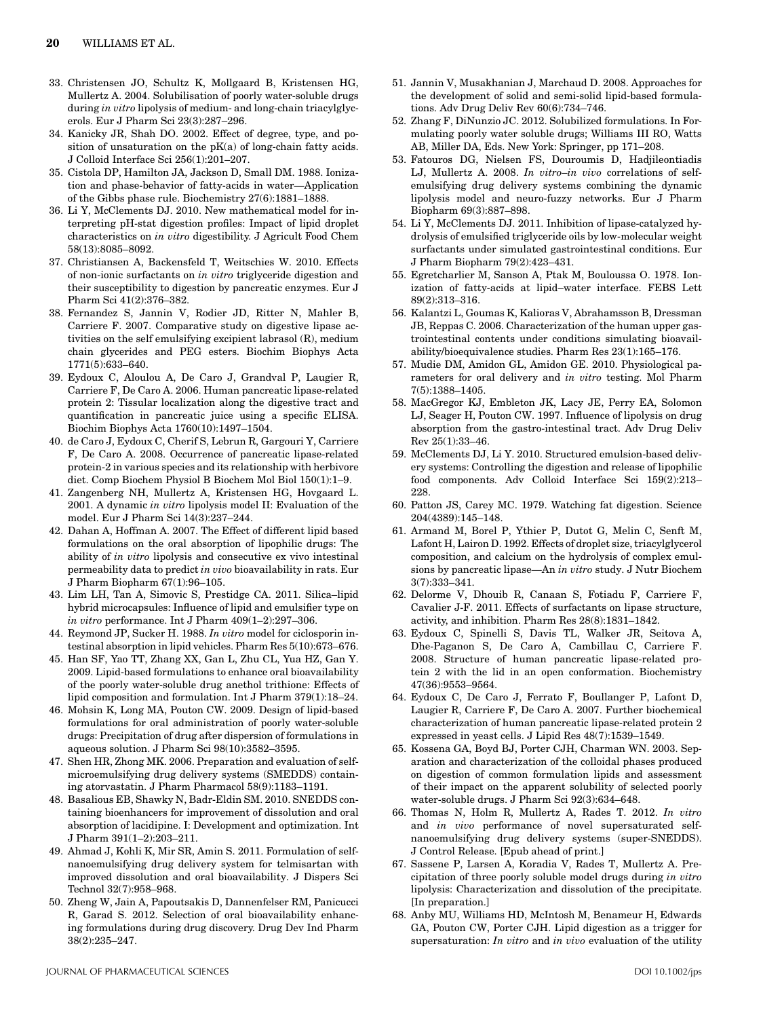- 33. Christensen JO, Schultz K, Mollgaard B, Kristensen HG, Mullertz A. 2004. Solubilisation of poorly water-soluble drugs during *in vitro* lipolysis of medium- and long-chain triacylglycerols. Eur J Pharm Sci 23(3):287–296.
- 34. Kanicky JR, Shah DO. 2002. Effect of degree, type, and position of unsaturation on the pK(a) of long-chain fatty acids. J Colloid Interface Sci 256(1):201–207.
- 35. Cistola DP, Hamilton JA, Jackson D, Small DM. 1988. Ionization and phase-behavior of fatty-acids in water—Application of the Gibbs phase rule. Biochemistry 27(6):1881–1888.
- 36. Li Y, McClements DJ. 2010. New mathematical model for interpreting pH-stat digestion profiles: Impact of lipid droplet characteristics on *in vitro* digestibility. J Agricult Food Chem 58(13):8085–8092.
- 37. Christiansen A, Backensfeld T, Weitschies W. 2010. Effects of non-ionic surfactants on *in vitro* triglyceride digestion and their susceptibility to digestion by pancreatic enzymes. Eur J Pharm Sci 41(2):376–382.
- 38. Fernandez S, Jannin V, Rodier JD, Ritter N, Mahler B, Carriere F. 2007. Comparative study on digestive lipase activities on the self emulsifying excipient labrasol (R), medium chain glycerides and PEG esters. Biochim Biophys Acta 1771(5):633–640.
- 39. Eydoux C, Aloulou A, De Caro J, Grandval P, Laugier R, Carriere F, De Caro A. 2006. Human pancreatic lipase-related protein 2: Tissular localization along the digestive tract and quantification in pancreatic juice using a specific ELISA. Biochim Biophys Acta 1760(10):1497–1504.
- 40. de Caro J, Eydoux C, Cherif S, Lebrun R, Gargouri Y, Carriere F, De Caro A. 2008. Occurrence of pancreatic lipase-related protein-2 in various species and its relationship with herbivore diet. Comp Biochem Physiol B Biochem Mol Biol 150(1):1–9.
- 41. Zangenberg NH, Mullertz A, Kristensen HG, Hovgaard L. 2001. A dynamic *in vitro* lipolysis model II: Evaluation of the model. Eur J Pharm Sci 14(3):237–244.
- 42. Dahan A, Hoffman A. 2007. The Effect of different lipid based formulations on the oral absorption of lipophilic drugs: The ability of *in vitro* lipolysis and consecutive ex vivo intestinal permeability data to predict *in vivo* bioavailability in rats. Eur J Pharm Biopharm 67(1):96–105.
- 43. Lim LH, Tan A, Simovic S, Prestidge CA. 2011. Silica–lipid hybrid microcapsules: Influence of lipid and emulsifier type on *in vitro* performance. Int J Pharm 409(1–2):297–306.
- 44. Reymond JP, Sucker H. 1988. *In vitro* model for ciclosporin intestinal absorption in lipid vehicles. Pharm Res 5(10):673–676.
- 45. Han SF, Yao TT, Zhang XX, Gan L, Zhu CL, Yua HZ, Gan Y. 2009. Lipid-based formulations to enhance oral bioavailability of the poorly water-soluble drug anethol trithione: Effects of lipid composition and formulation. Int J Pharm 379(1):18–24.
- 46. Mohsin K, Long MA, Pouton CW. 2009. Design of lipid-based formulations for oral administration of poorly water-soluble drugs: Precipitation of drug after dispersion of formulations in aqueous solution. J Pharm Sci 98(10):3582–3595.
- 47. Shen HR, Zhong MK. 2006. Preparation and evaluation of selfmicroemulsifying drug delivery systems (SMEDDS) containing atorvastatin. J Pharm Pharmacol 58(9):1183–1191.
- 48. Basalious EB, Shawky N, Badr-Eldin SM. 2010. SNEDDS containing bioenhancers for improvement of dissolution and oral absorption of lacidipine. I: Development and optimization. Int J Pharm 391(1–2):203–211.
- 49. Ahmad J, Kohli K, Mir SR, Amin S. 2011. Formulation of selfnanoemulsifying drug delivery system for telmisartan with improved dissolution and oral bioavailability. J Dispers Sci Technol 32(7):958–968.
- 50. Zheng W, Jain A, Papoutsakis D, Dannenfelser RM, Panicucci R, Garad S. 2012. Selection of oral bioavailability enhancing formulations during drug discovery. Drug Dev Ind Pharm 38(2):235–247.
- 51. Jannin V, Musakhanian J, Marchaud D. 2008. Approaches for the development of solid and semi-solid lipid-based formulations. Adv Drug Deliv Rev 60(6):734–746.
- 52. Zhang F, DiNunzio JC. 2012. Solubilized formulations. In Formulating poorly water soluble drugs; Williams III RO, Watts AB, Miller DA, Eds. New York: Springer, pp 171–208.
- 53. Fatouros DG, Nielsen FS, Douroumis D, Hadjileontiadis LJ, Mullertz A. 2008. *In vitro*–*in vivo* correlations of selfemulsifying drug delivery systems combining the dynamic lipolysis model and neuro-fuzzy networks. Eur J Pharm Biopharm 69(3):887–898.
- 54. Li Y, McClements DJ. 2011. Inhibition of lipase-catalyzed hydrolysis of emulsified triglyceride oils by low-molecular weight surfactants under simulated gastrointestinal conditions. Eur J Pharm Biopharm 79(2):423–431.
- 55. Egretcharlier M, Sanson A, Ptak M, Bouloussa O. 1978. Ionization of fatty-acids at lipid–water interface. FEBS Lett 89(2):313–316.
- 56. Kalantzi L, Goumas K, Kalioras V, Abrahamsson B, Dressman JB, Reppas C. 2006. Characterization of the human upper gastrointestinal contents under conditions simulating bioavailability/bioequivalence studies. Pharm Res 23(1):165–176.
- 57. Mudie DM, Amidon GL, Amidon GE. 2010. Physiological parameters for oral delivery and *in vitro* testing. Mol Pharm 7(5):1388–1405.
- 58. MacGregor KJ, Embleton JK, Lacy JE, Perry EA, Solomon LJ, Seager H, Pouton CW. 1997. Influence of lipolysis on drug absorption from the gastro-intestinal tract. Adv Drug Deliv Rev 25(1):33–46.
- 59. McClements DJ, Li Y. 2010. Structured emulsion-based delivery systems: Controlling the digestion and release of lipophilic food components. Adv Colloid Interface Sci 159(2):213– 228.
- 60. Patton JS, Carey MC. 1979. Watching fat digestion. Science 204(4389):145–148.
- 61. Armand M, Borel P, Ythier P, Dutot G, Melin C, Senft M, Lafont H, Lairon D. 1992. Effects of droplet size, triacylglycerol composition, and calcium on the hydrolysis of complex emulsions by pancreatic lipase—An *in vitro* study. J Nutr Biochem 3(7):333–341.
- 62. Delorme V, Dhouib R, Canaan S, Fotiadu F, Carriere F, Cavalier J-F. 2011. Effects of surfactants on lipase structure, activity, and inhibition. Pharm Res 28(8):1831–1842.
- 63. Eydoux C, Spinelli S, Davis TL, Walker JR, Seitova A, Dhe-Paganon S, De Caro A, Cambillau C, Carriere F. 2008. Structure of human pancreatic lipase-related protein 2 with the lid in an open conformation. Biochemistry 47(36):9553–9564.
- 64. Eydoux C, De Caro J, Ferrato F, Boullanger P, Lafont D, Laugier R, Carriere F, De Caro A. 2007. Further biochemical characterization of human pancreatic lipase-related protein 2 expressed in yeast cells. J Lipid Res 48(7):1539–1549.
- 65. Kossena GA, Boyd BJ, Porter CJH, Charman WN. 2003. Separation and characterization of the colloidal phases produced on digestion of common formulation lipids and assessment of their impact on the apparent solubility of selected poorly water-soluble drugs. J Pharm Sci 92(3):634–648.
- 66. Thomas N, Holm R, Mullertz A, Rades T. 2012. *In vitro* and *in vivo* performance of novel supersaturated selfnanoemulsifying drug delivery systems (super-SNEDDS). J Control Release. [Epub ahead of print.]
- 67. Sassene P, Larsen A, Koradia V, Rades T, Mullertz A. Precipitation of three poorly soluble model drugs during *in vitro* lipolysis: Characterization and dissolution of the precipitate. [In preparation.]
- 68. Anby MU, Williams HD, McIntosh M, Benameur H, Edwards GA, Pouton CW, Porter CJH. Lipid digestion as a trigger for supersaturation: *In vitro* and *in vivo* evaluation of the utility